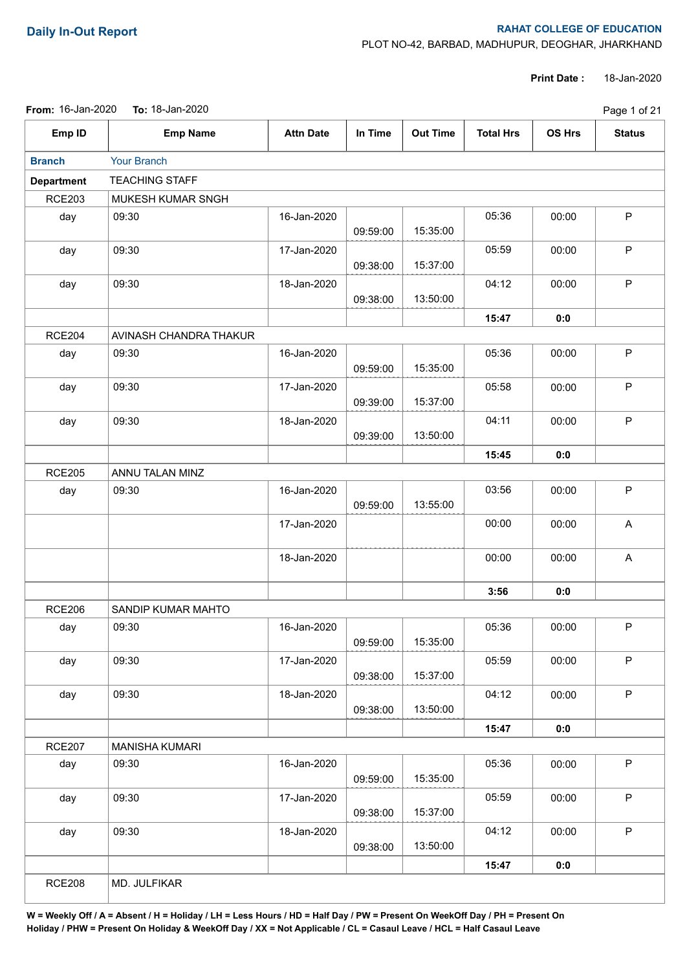## **Daily In-Out Report RAHAT COLLEGE OF EDUCATION**

PLOT NO-42, BARBAD, MADHUPUR, DEOGHAR, JHARKHAND

**Print Date :** 18-Jan-2020

| <b>From: 16-Jan-2020</b> | To: 18-Jan-2020        |                  | Page 1 of 21 |                 |                  |        |               |
|--------------------------|------------------------|------------------|--------------|-----------------|------------------|--------|---------------|
| Emp ID                   | <b>Emp Name</b>        | <b>Attn Date</b> | In Time      | <b>Out Time</b> | <b>Total Hrs</b> | OS Hrs | <b>Status</b> |
| <b>Branch</b>            | Your Branch            |                  |              |                 |                  |        |               |
| <b>Department</b>        | <b>TEACHING STAFF</b>  |                  |              |                 |                  |        |               |
| <b>RCE203</b>            | MUKESH KUMAR SNGH      |                  |              |                 |                  |        |               |
| day                      | 09:30                  | 16-Jan-2020      | 09:59:00     | 15:35:00        | 05:36            | 00:00  | ${\sf P}$     |
| day                      | 09:30                  | 17-Jan-2020      | 09:38:00     | 15:37:00        | 05:59            | 00:00  | $\mathsf P$   |
| day                      | 09:30                  | 18-Jan-2020      | 09:38:00     | 13:50:00        | 04:12            | 00:00  | $\mathsf P$   |
|                          |                        |                  |              |                 | 15:47            | 0:0    |               |
| <b>RCE204</b>            | AVINASH CHANDRA THAKUR |                  |              |                 |                  |        |               |
| day                      | 09:30                  | 16-Jan-2020      | 09:59:00     | 15:35:00        | 05:36            | 00:00  | $\mathsf P$   |
| day                      | 09:30                  | 17-Jan-2020      | 09:39:00     | 15:37:00        | 05:58            | 00:00  | $\mathsf P$   |
| day                      | 09:30                  | 18-Jan-2020      | 09:39:00     | 13:50:00        | 04:11            | 00:00  | ${\sf P}$     |
|                          |                        |                  |              |                 | 15:45            | 0:0    |               |
| <b>RCE205</b>            | ANNU TALAN MINZ        |                  |              |                 |                  |        |               |
| day                      | 09:30                  | 16-Jan-2020      | 09:59:00     | 13:55:00        | 03:56            | 00:00  | ${\sf P}$     |
|                          |                        | 17-Jan-2020      |              |                 | 00:00            | 00:00  | $\mathsf{A}$  |
|                          |                        | 18-Jan-2020      |              |                 | 00:00            | 00:00  | A             |
|                          |                        |                  |              |                 | 3:56             | 0:0    |               |
| <b>RCE206</b>            | SANDIP KUMAR MAHTO     |                  |              |                 |                  |        |               |
| day                      | 09:30                  | 16-Jan-2020      | 09:59:00     | 15:35:00        | 05:36            | 00:00  | P.            |
| day                      | 09:30                  | 17-Jan-2020      | 09:38:00     | 15:37:00        | 05:59            | 00:00  | $\mathsf P$   |
| day                      | 09:30                  | 18-Jan-2020      | 09:38:00     | 13:50:00        | 04:12            | 00:00  | $\mathsf P$   |
|                          |                        |                  |              |                 | 15:47            | 0:0    |               |
| <b>RCE207</b>            | <b>MANISHA KUMARI</b>  |                  |              |                 |                  |        |               |
| day                      | 09:30                  | 16-Jan-2020      | 09:59:00     | 15:35:00        | 05:36            | 00:00  | $\mathsf P$   |
| day                      | 09:30                  | 17-Jan-2020      | 09:38:00     | 15:37:00        | 05:59            | 00:00  | $\mathsf P$   |
| day                      | 09:30                  | 18-Jan-2020      | 09:38:00     | 13:50:00        | 04:12            | 00:00  | $\mathsf P$   |
|                          |                        |                  |              |                 |                  |        |               |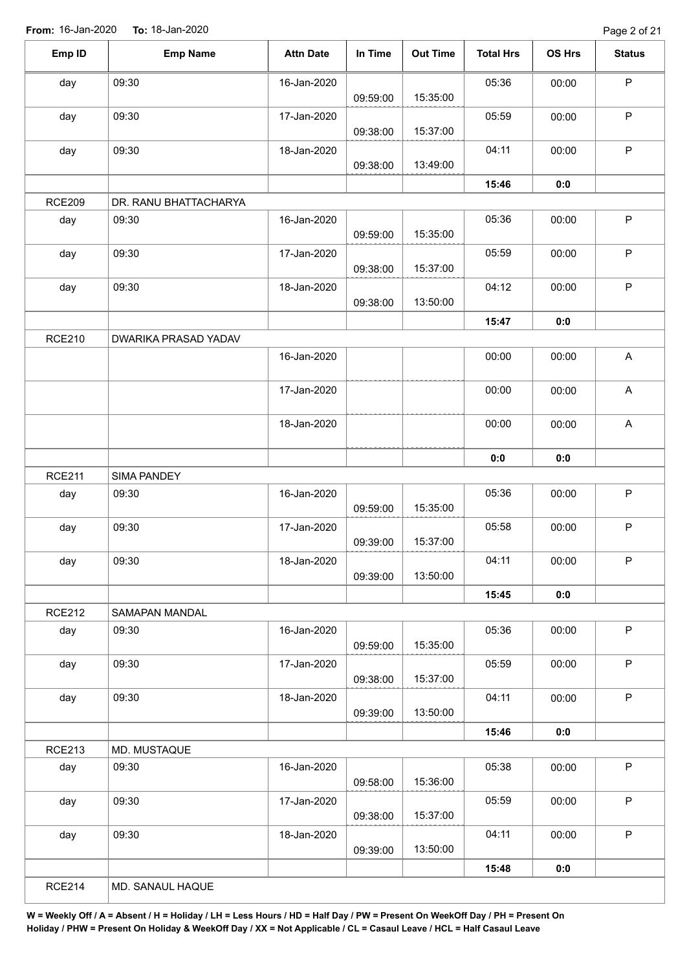| Emp ID        | <b>Emp Name</b>       | <b>Attn Date</b> | In Time  | <b>Out Time</b> | <b>Total Hrs</b> | OS Hrs | <b>Status</b> |
|---------------|-----------------------|------------------|----------|-----------------|------------------|--------|---------------|
| day           | 09:30                 | 16-Jan-2020      | 09:59:00 | 15:35:00        | 05:36            | 00:00  | $\sf P$       |
| day           | 09:30                 | 17-Jan-2020      |          |                 | 05:59            | 00:00  | $\mathsf P$   |
| day           | 09:30                 | 18-Jan-2020      | 09:38:00 | 15:37:00        | 04:11            | 00:00  | $\mathsf{P}$  |
|               |                       |                  | 09:38:00 | 13:49:00        |                  |        |               |
|               |                       |                  |          |                 | 15:46            | 0:0    |               |
| <b>RCE209</b> | DR. RANU BHATTACHARYA |                  |          |                 |                  |        |               |
| day           | 09:30                 | 16-Jan-2020      | 09:59:00 | 15:35:00        | 05:36            | 00:00  | $\mathsf P$   |
| day           | 09:30                 | 17-Jan-2020      | 09:38:00 | 15:37:00        | 05:59            | 00:00  | $\mathsf P$   |
| day           | 09:30                 | 18-Jan-2020      | 09:38:00 | 13:50:00        | 04:12            | 00:00  | $\mathsf P$   |
|               |                       |                  |          |                 | 15:47            | 0:0    |               |
| <b>RCE210</b> | DWARIKA PRASAD YADAV  |                  |          |                 |                  |        |               |
|               |                       | 16-Jan-2020      |          |                 | 00:00            | 00:00  | A             |
|               |                       | 17-Jan-2020      |          |                 | 00:00            | 00:00  | $\mathsf A$   |
|               |                       | 18-Jan-2020      |          |                 | 00:00            | 00:00  | $\mathsf{A}$  |
|               |                       |                  |          |                 | 0:0              | 0:0    |               |
| <b>RCE211</b> | <b>SIMA PANDEY</b>    |                  |          |                 |                  |        |               |
| day           | 09:30                 | 16-Jan-2020      |          |                 | 05:36            | 00:00  | $\mathsf P$   |
|               |                       |                  | 09:59:00 | 15:35:00        |                  |        |               |
| day           | 09:30                 | 17-Jan-2020      | 09:39:00 | 15:37:00        | 05:58            | 00:00  | $\mathsf P$   |
| day           | 09:30                 | 18-Jan-2020      |          |                 | 04:11            | 00:00  | P.            |
|               |                       |                  | 09:39:00 | 13:50:00        |                  |        |               |
|               |                       |                  |          |                 | 15:45            | 0:0    |               |
| <b>RCE212</b> | SAMAPAN MANDAL        |                  |          |                 |                  |        |               |
| day           | 09:30                 | 16-Jan-2020      | 09:59:00 | 15:35:00        | 05:36            | 00:00  | $\mathsf P$   |
| day           | 09:30                 | 17-Jan-2020      | 09:38:00 | 15:37:00        | 05:59            | 00:00  | $\mathsf{P}$  |
| day           | 09:30                 | 18-Jan-2020      | 09:39:00 | 13:50:00        | 04:11            | 00:00  | $\mathsf P$   |
|               |                       |                  |          |                 | 15:46            | 0:0    |               |
| <b>RCE213</b> | MD. MUSTAQUE          |                  |          |                 |                  |        |               |
| day           | 09:30                 | 16-Jan-2020      | 09:58:00 | 15:36:00        | 05:38            | 00:00  | $\mathsf{P}$  |
| day           | 09:30                 | 17-Jan-2020      |          | 15:37:00        | 05:59            | 00:00  | $\mathsf{P}$  |
| day           | 09:30                 | 18-Jan-2020      | 09:38:00 |                 | 04:11            | 00:00  | $\mathsf P$   |
|               |                       |                  | 09:39:00 | 13:50:00        |                  |        |               |
|               |                       |                  |          |                 | 15:48            | 0:0    |               |
| <b>RCE214</b> | MD. SANAUL HAQUE      |                  |          |                 |                  |        |               |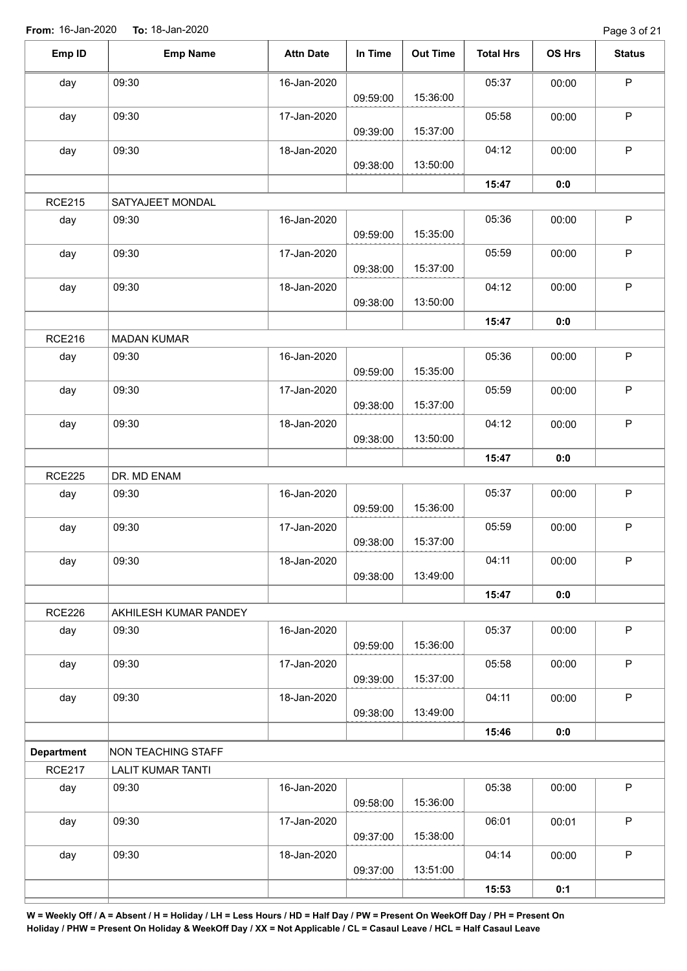Page 3 of 21

| Emp ID            | <b>Emp Name</b>           | <b>Attn Date</b> | In Time  | <b>Out Time</b> | <b>Total Hrs</b> | OS Hrs | <b>Status</b> |
|-------------------|---------------------------|------------------|----------|-----------------|------------------|--------|---------------|
| day               | 09:30                     | 16-Jan-2020      |          |                 | 05:37            | 00:00  | $\mathsf P$   |
|                   |                           |                  | 09:59:00 | 15:36:00        |                  |        |               |
| day               | 09:30                     | 17-Jan-2020      | 09:39:00 | 15:37:00        | 05:58            | 00:00  | $\sf P$       |
| day               | 09:30                     | 18-Jan-2020      | 09:38:00 | 13:50:00        | 04:12            | 00:00  | $\mathsf P$   |
|                   |                           |                  |          |                 | 15:47            | 0:0    |               |
| <b>RCE215</b>     | SATYAJEET MONDAL          |                  |          |                 |                  |        |               |
| day               | 09:30                     | 16-Jan-2020      | 09:59:00 | 15:35:00        | 05:36            | 00:00  | $\mathsf P$   |
| day               | 09:30                     | 17-Jan-2020      | 09:38:00 | 15:37:00        | 05:59            | 00:00  | $\mathsf P$   |
| day               | 09:30                     | 18-Jan-2020      | 09:38:00 | 13:50:00        | 04:12            | 00:00  | $\mathsf P$   |
|                   |                           |                  |          |                 | 15:47            | 0:0    |               |
| <b>RCE216</b>     | <b>MADAN KUMAR</b>        |                  |          |                 |                  |        |               |
| day               | 09:30                     | 16-Jan-2020      | 09:59:00 | 15:35:00        | 05:36            | 00:00  | $\mathsf P$   |
| day               | 09:30                     | 17-Jan-2020      | 09:38:00 | 15:37:00        | 05:59            | 00:00  | $\mathsf P$   |
| day               | 09:30                     | 18-Jan-2020      | 09:38:00 | 13:50:00        | 04:12            | 00:00  | $\mathsf P$   |
|                   |                           |                  |          |                 | 15:47            | 0:0    |               |
| <b>RCE225</b>     | DR. MD ENAM               |                  |          |                 |                  |        |               |
| day               | 09:30                     | 16-Jan-2020      | 09:59:00 | 15:36:00        | 05:37            | 00:00  | $\sf P$       |
| day               | 09:30                     | 17-Jan-2020      | 09:38:00 | 15:37:00        | 05:59            | 00:00  | $\mathsf P$   |
| day               | 09:30                     | 18-Jan-2020      | 09:38:00 | 13:49:00        | 04:11            | 00:00  | P             |
|                   |                           |                  |          |                 | 15:47            | 0:0    |               |
| <b>RCE226</b>     | AKHILESH KUMAR PANDEY     |                  |          |                 |                  |        |               |
| day               | 09:30                     | 16-Jan-2020      | 09:59:00 | 15:36:00        | 05:37            | 00:00  | $\sf P$       |
| day               | 09:30                     | 17-Jan-2020      | 09:39:00 | 15:37:00        | 05:58            | 00:00  | $\mathsf P$   |
| day               | 09:30                     | 18-Jan-2020      | 09:38:00 | 13:49:00        | 04:11            | 00:00  | $\sf P$       |
|                   |                           |                  |          |                 | 15:46            | 0:0    |               |
| <b>Department</b> | <b>NON TEACHING STAFF</b> |                  |          |                 |                  |        |               |
| <b>RCE217</b>     | <b>LALIT KUMAR TANTI</b>  |                  |          |                 |                  |        |               |
| day               | 09:30                     | 16-Jan-2020      | 09:58:00 | 15:36:00        | 05:38            | 00:00  | $\mathsf P$   |
| day               | 09:30                     | 17-Jan-2020      | 09:37:00 | 15:38:00        | 06:01            | 00:01  | $\mathsf P$   |
| day               | 09:30                     | 18-Jan-2020      | 09:37:00 | 13:51:00        | 04:14            | 00:00  | $\sf P$       |
|                   |                           |                  |          |                 | 15:53            | 0:1    |               |
|                   |                           |                  |          |                 |                  |        |               |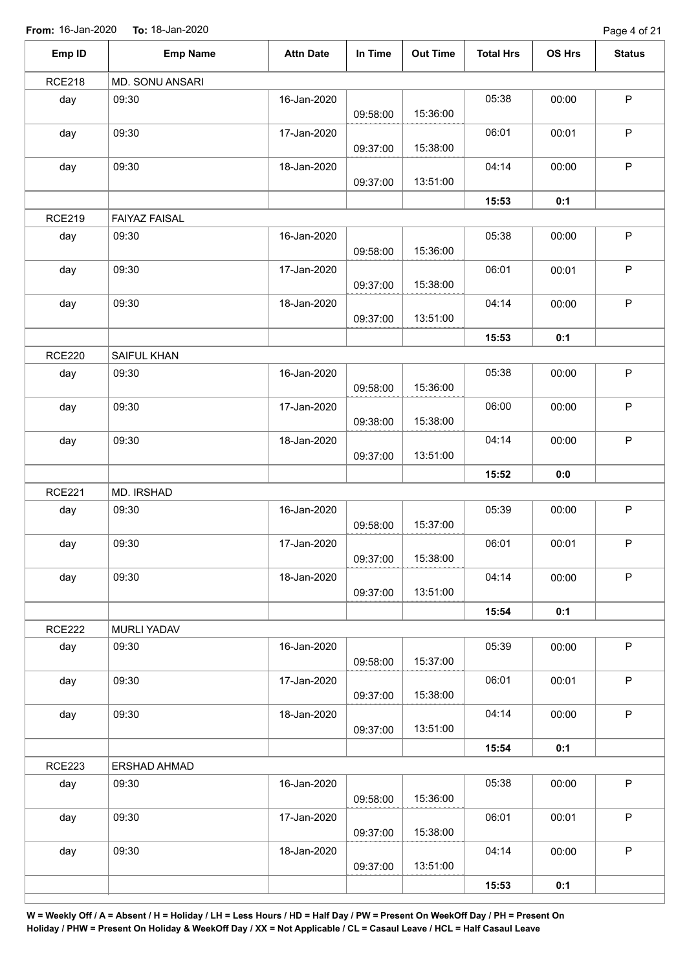**From:** 16-Jan-2020 **To:** 18-Jan-2020

Page 4 of 21

| <b>RCE218</b><br>MD. SONU ANSARI                                      |              |
|-----------------------------------------------------------------------|--------------|
|                                                                       |              |
| 05:38<br>09:30<br>16-Jan-2020<br>day<br>00:00<br>15:36:00<br>09:58:00 | $\mathsf P$  |
| 06:01<br>09:30<br>17-Jan-2020<br>00:01<br>day<br>15:38:00<br>09:37:00 | $\mathsf P$  |
| 04:14<br>09:30<br>18-Jan-2020<br>00:00<br>day<br>13:51:00<br>09:37:00 | $\mathsf P$  |
| 15:53<br>0:1                                                          |              |
| <b>RCE219</b><br><b>FAIYAZ FAISAL</b>                                 |              |
| 09:30<br>16-Jan-2020<br>05:38<br>day<br>00:00<br>15:36:00<br>09:58:00 | $\sf P$      |
| 09:30<br>06:01<br>day<br>17-Jan-2020<br>00:01<br>15:38:00<br>09:37:00 | $\sf P$      |
| 09:30<br>18-Jan-2020<br>04:14<br>00:00<br>day<br>13:51:00<br>09:37:00 | $\mathsf P$  |
| 15:53<br>0:1                                                          |              |
| <b>RCE220</b><br>SAIFUL KHAN                                          |              |
| day<br>09:30<br>16-Jan-2020<br>05:38<br>00:00<br>15:36:00<br>09:58:00 | $\mathsf P$  |
| 09:30<br>day<br>17-Jan-2020<br>06:00<br>00:00<br>15:38:00<br>09:38:00 | $\sf P$      |
| 09:30<br>18-Jan-2020<br>04:14<br>day<br>00:00<br>13:51:00<br>09:37:00 | $\mathsf P$  |
| 15:52<br>0:0                                                          |              |
| <b>RCE221</b><br>MD. IRSHAD                                           |              |
| 16-Jan-2020<br>05:39<br>09:30<br>00:00<br>day<br>15:37:00<br>09:58:00 | $\mathsf P$  |
| 09:30<br>06:01<br>17-Jan-2020<br>00:01<br>day<br>15:38:00<br>09:37:00 | P            |
| 04:14<br>09:30<br>18-Jan-2020<br>00:00<br>day<br>13:51:00<br>09:37:00 | $\mathsf P$  |
| 15:54<br>0:1                                                          |              |
| <b>RCE222</b><br><b>MURLI YADAV</b>                                   |              |
| 09:30<br>16-Jan-2020<br>05:39<br>00:00<br>day<br>15:37:00<br>09:58:00 | $\mathsf{P}$ |
| 06:01<br>09:30<br>17-Jan-2020<br>00:01<br>day<br>15:38:00<br>09:37:00 | $\mathsf P$  |
| 04:14<br>09:30<br>18-Jan-2020<br>day<br>00:00<br>13:51:00<br>09:37:00 | $\mathsf P$  |
| 15:54<br>0:1                                                          |              |
| <b>RCE223</b><br>ERSHAD AHMAD                                         |              |
| 05:38<br>09:30<br>16-Jan-2020<br>00:00<br>day<br>15:36:00<br>09:58:00 | $\sf P$      |
| 09:30<br>06:01<br>00:01<br>day<br>17-Jan-2020<br>15:38:00<br>09:37:00 | $\mathsf P$  |
| 04:14<br>day<br>09:30<br>18-Jan-2020<br>00:00<br>13:51:00<br>09:37:00 | $\sf P$      |
| 15:53<br>0:1                                                          |              |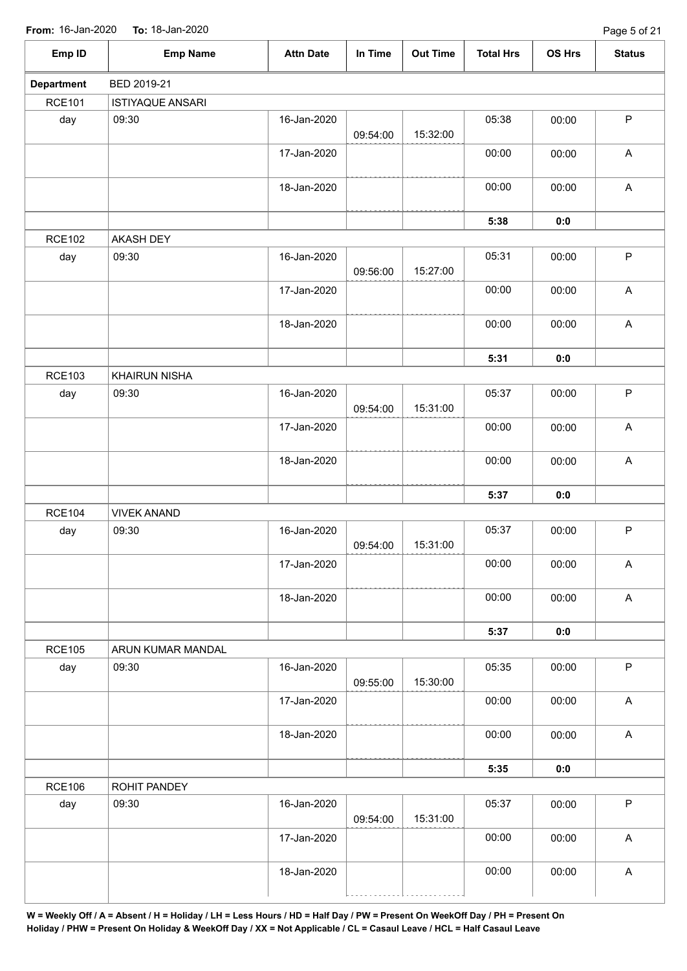**From:** 16-Jan-2020 **To:** 18-Jan-2020

| <b>FIUIII.</b> IU-JAII-ZUZU | $10.10$ -Jali-2020<br>Page 5 OF ZT |                  |          |                 |                  |        |                           |  |  |
|-----------------------------|------------------------------------|------------------|----------|-----------------|------------------|--------|---------------------------|--|--|
| Emp ID                      | <b>Emp Name</b>                    | <b>Attn Date</b> | In Time  | <b>Out Time</b> | <b>Total Hrs</b> | OS Hrs | <b>Status</b>             |  |  |
| <b>Department</b>           | BED 2019-21                        |                  |          |                 |                  |        |                           |  |  |
| <b>RCE101</b>               | <b>ISTIYAQUE ANSARI</b>            |                  |          |                 |                  |        |                           |  |  |
| day                         | 09:30                              | 16-Jan-2020      | 09:54:00 | 15:32:00        | 05:38            | 00:00  | $\sf P$                   |  |  |
|                             |                                    | 17-Jan-2020      |          |                 | 00:00            | 00:00  | $\boldsymbol{\mathsf{A}}$ |  |  |
|                             |                                    | 18-Jan-2020      |          |                 | 00:00            | 00:00  | $\boldsymbol{\mathsf{A}}$ |  |  |
|                             |                                    |                  |          |                 | 5:38             | 0:0    |                           |  |  |
| <b>RCE102</b>               | <b>AKASH DEY</b>                   |                  |          |                 |                  |        |                           |  |  |
| day                         | 09:30                              | 16-Jan-2020      | 09:56:00 | 15:27:00        | 05:31            | 00:00  | P                         |  |  |
|                             |                                    | 17-Jan-2020      |          |                 | 00:00            | 00:00  | A                         |  |  |
|                             |                                    | 18-Jan-2020      |          |                 | 00:00            | 00:00  | $\mathsf A$               |  |  |
|                             |                                    |                  |          |                 | 5:31             | 0:0    |                           |  |  |
| <b>RCE103</b>               | <b>KHAIRUN NISHA</b>               |                  |          |                 |                  |        |                           |  |  |
| day                         | 09:30                              | 16-Jan-2020      | 09:54:00 | 15:31:00        | 05:37            | 00:00  | P                         |  |  |
|                             |                                    | 17-Jan-2020      |          |                 | 00:00            | 00:00  | $\mathsf A$               |  |  |
|                             |                                    | 18-Jan-2020      |          |                 | 00:00            | 00:00  | $\mathsf A$               |  |  |
|                             |                                    |                  |          |                 | 5:37             | 0:0    |                           |  |  |
| <b>RCE104</b>               | <b>VIVEK ANAND</b>                 |                  |          |                 |                  |        |                           |  |  |
| day                         | 09:30                              | 16-Jan-2020      |          |                 | 05:37            | 00:00  | P                         |  |  |
|                             |                                    |                  | 09:54:00 | 15:31:00        |                  |        |                           |  |  |
|                             |                                    | 17-Jan-2020      |          |                 | 00:00            | 00:00  | $\mathsf A$               |  |  |
|                             |                                    | 18-Jan-2020      |          |                 | 00:00            | 00:00  | $\mathsf A$               |  |  |
|                             |                                    |                  |          |                 | 5:37             | 0:0    |                           |  |  |
| <b>RCE105</b>               | ARUN KUMAR MANDAL                  |                  |          |                 |                  |        |                           |  |  |
| day                         | 09:30                              | 16-Jan-2020      | 09:55:00 | 15:30:00        | 05:35            | 00:00  | $\sf P$                   |  |  |
|                             |                                    | 17-Jan-2020      |          |                 | 00:00            | 00:00  | $\boldsymbol{\mathsf{A}}$ |  |  |
|                             |                                    | 18-Jan-2020      |          |                 | 00:00            | 00:00  | $\boldsymbol{\mathsf{A}}$ |  |  |
|                             |                                    |                  |          |                 | 5:35             | 0:0    |                           |  |  |
| <b>RCE106</b>               | ROHIT PANDEY                       |                  |          |                 |                  |        |                           |  |  |
| day                         | 09:30                              | 16-Jan-2020      | 09:54:00 | 15:31:00        | 05:37            | 00:00  | P                         |  |  |
|                             |                                    | 17-Jan-2020      |          |                 | 00:00            | 00:00  | $\mathsf A$               |  |  |
|                             |                                    | 18-Jan-2020      |          |                 | 00:00            | 00:00  | A                         |  |  |
|                             |                                    |                  |          |                 |                  |        |                           |  |  |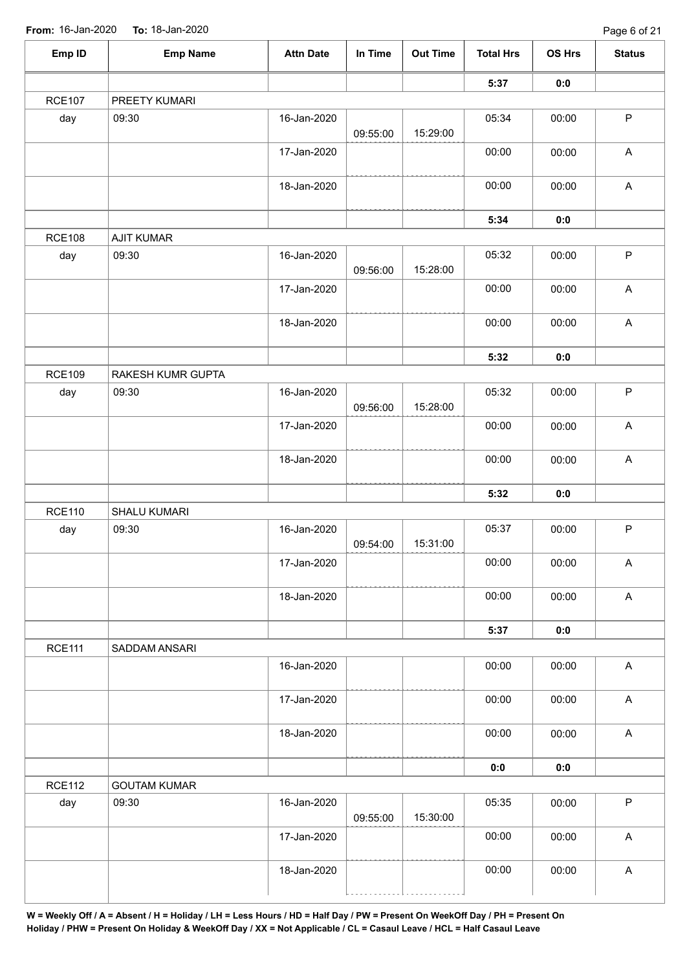| Emp ID        | <b>Emp Name</b>     | <b>Attn Date</b> | In Time  | <b>Out Time</b> | <b>Total Hrs</b> | <b>OS Hrs</b> | <b>Status</b>             |
|---------------|---------------------|------------------|----------|-----------------|------------------|---------------|---------------------------|
|               |                     |                  |          |                 | 5:37             | 0:0           |                           |
| <b>RCE107</b> | PREETY KUMARI       |                  |          |                 |                  |               |                           |
| day           | 09:30               | 16-Jan-2020      | 09:55:00 | 15:29:00        | 05:34            | 00:00         | $\mathsf P$               |
|               |                     | 17-Jan-2020      |          |                 | 00:00            | 00:00         | $\boldsymbol{\mathsf{A}}$ |
|               |                     | 18-Jan-2020      |          |                 | 00:00            | 00:00         | $\boldsymbol{\mathsf{A}}$ |
|               |                     |                  |          |                 | 5:34             | 0:0           |                           |
| <b>RCE108</b> | <b>AJIT KUMAR</b>   |                  |          |                 |                  |               |                           |
| day           | 09:30               | 16-Jan-2020      | 09:56:00 | 15:28:00        | 05:32            | 00:00         | $\sf P$                   |
|               |                     | 17-Jan-2020      |          |                 | 00:00            | 00:00         | $\boldsymbol{\mathsf{A}}$ |
|               |                     | 18-Jan-2020      |          |                 | 00:00            | 00:00         | $\boldsymbol{\mathsf{A}}$ |
|               |                     |                  |          |                 | 5:32             | 0:0           |                           |
| <b>RCE109</b> | RAKESH KUMR GUPTA   |                  |          |                 |                  |               |                           |
| day           | 09:30               | 16-Jan-2020      | 09:56:00 | 15:28:00        | 05:32            | 00:00         | $\sf P$                   |
|               |                     | 17-Jan-2020      |          |                 | 00:00            | 00:00         | $\boldsymbol{\mathsf{A}}$ |
|               |                     | 18-Jan-2020      |          |                 | 00:00            | 00:00         | $\boldsymbol{\mathsf{A}}$ |
|               |                     |                  |          |                 | 5:32             | 0:0           |                           |
| <b>RCE110</b> | SHALU KUMARI        |                  |          |                 |                  |               |                           |
| day           | 09:30               | 16-Jan-2020      | 09:54:00 | 15:31:00        | 05:37            | 00:00         | $\sf P$                   |
|               |                     | 17-Jan-2020      |          |                 | 00:00            | 00:00         | $\boldsymbol{\mathsf{A}}$ |
|               |                     | 18-Jan-2020      |          |                 | 00:00            | 00:00         | $\mathsf{A}$              |
|               |                     |                  |          |                 | 5:37             | 0:0           |                           |
| <b>RCE111</b> | SADDAM ANSARI       |                  |          |                 |                  |               |                           |
|               |                     | 16-Jan-2020      |          |                 | 00:00            | 00:00         | $\mathsf{A}$              |
|               |                     | 17-Jan-2020      |          |                 | 00:00            | 00:00         | $\boldsymbol{\mathsf{A}}$ |
|               |                     | 18-Jan-2020      |          |                 | 00:00            | 00:00         | $\mathsf{A}$              |
|               |                     |                  |          |                 | 0:0              | 0:0           |                           |
| <b>RCE112</b> | <b>GOUTAM KUMAR</b> |                  |          |                 |                  |               |                           |
| day           | 09:30               | 16-Jan-2020      | 09:55:00 | 15:30:00        | 05:35            | 00:00         | $\mathsf P$               |
|               |                     | 17-Jan-2020      |          |                 | 00:00            | 00:00         | $\boldsymbol{\mathsf{A}}$ |
|               |                     | 18-Jan-2020      |          |                 | 00:00            | 00:00         | $\boldsymbol{\mathsf{A}}$ |
|               |                     |                  |          |                 |                  |               |                           |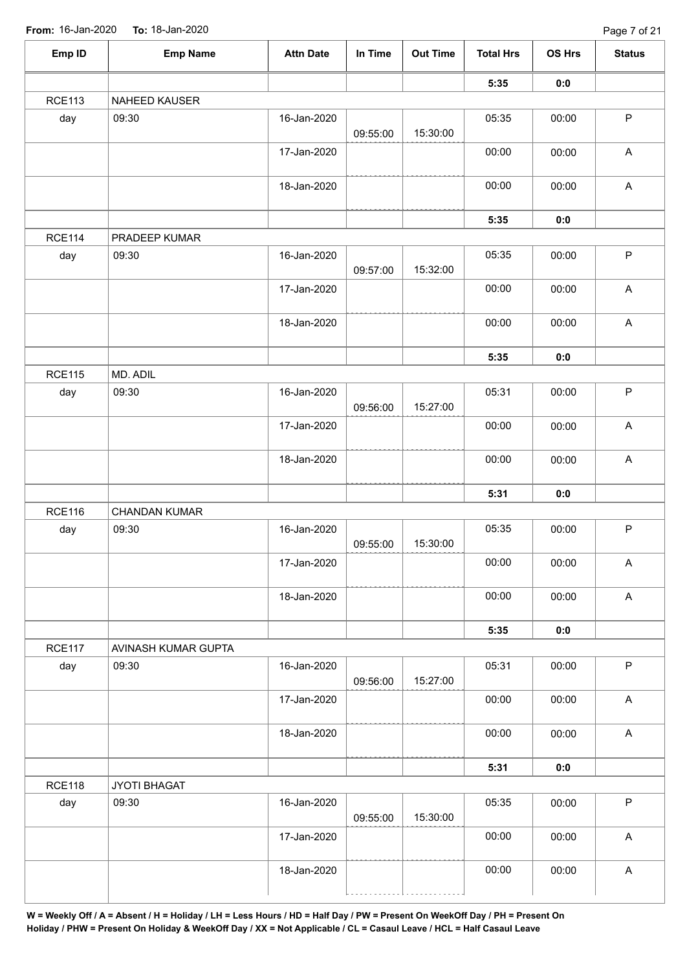| 5:35<br>0:0<br>NAHEED KAUSER<br>$\mathsf P$<br>09:30<br>16-Jan-2020<br>05:35<br>day<br>00:00<br>15:30:00<br>09:55:00<br>$\boldsymbol{\mathsf{A}}$<br>17-Jan-2020<br>00:00<br>00:00<br>$\boldsymbol{\mathsf{A}}$<br>18-Jan-2020<br>00:00<br>00:00<br>5:35<br>0:0<br>PRADEEP KUMAR<br>$\sf P$<br>09:30<br>16-Jan-2020<br>05:35<br>day<br>00:00<br>15:32:00<br>09:57:00<br>$\boldsymbol{\mathsf{A}}$<br>17-Jan-2020<br>00:00<br>00:00<br>$\boldsymbol{\mathsf{A}}$<br>18-Jan-2020<br>00:00<br>00:00<br>5:35<br>0:0<br>MD. ADIL<br>$\sf P$<br>05:31<br>09:30<br>16-Jan-2020<br>00:00<br>day<br>15:27:00<br>09:56:00<br>00:00<br>$\boldsymbol{\mathsf{A}}$<br>17-Jan-2020<br>00:00<br>$\boldsymbol{\mathsf{A}}$<br>00:00<br>18-Jan-2020<br>00:00<br>5:31<br>0:0<br>CHANDAN KUMAR<br>$\sf P$<br>05:35<br>day<br>09:30<br>16-Jan-2020<br>00:00<br>15:30:00<br>09:55:00<br>17-Jan-2020<br>00:00<br>00:00<br>$\mathsf A$<br>00:00<br>$\mathsf{A}$<br>18-Jan-2020<br>00:00<br>5:35<br>0:0<br>AVINASH KUMAR GUPTA<br>$\mathsf P$<br>05:31<br>09:30<br>00:00<br>day<br>16-Jan-2020<br>15:27:00<br>09:56:00<br>00:00<br>$\mathsf A$<br>17-Jan-2020<br>00:00<br>00:00<br>$\mathsf{A}$<br>18-Jan-2020<br>00:00<br>5:31<br>0:0<br>JYOTI BHAGAT<br>$\mathsf P$<br>05:35<br>09:30<br>16-Jan-2020<br>00:00<br>day<br>15:30:00<br>09:55:00<br>$\boldsymbol{\mathsf{A}}$<br>00:00<br>17-Jan-2020<br>00:00<br>00:00<br>$\boldsymbol{\mathsf{A}}$<br>18-Jan-2020<br>00:00 | Emp ID        | <b>Emp Name</b> | <b>Attn Date</b> | In Time | <b>Out Time</b> | <b>Total Hrs</b> | <b>OS Hrs</b> | <b>Status</b> |
|----------------------------------------------------------------------------------------------------------------------------------------------------------------------------------------------------------------------------------------------------------------------------------------------------------------------------------------------------------------------------------------------------------------------------------------------------------------------------------------------------------------------------------------------------------------------------------------------------------------------------------------------------------------------------------------------------------------------------------------------------------------------------------------------------------------------------------------------------------------------------------------------------------------------------------------------------------------------------------------------------------------------------------------------------------------------------------------------------------------------------------------------------------------------------------------------------------------------------------------------------------------------------------------------------------------------------------------------------------------------------------------------------------------------------------------------------|---------------|-----------------|------------------|---------|-----------------|------------------|---------------|---------------|
|                                                                                                                                                                                                                                                                                                                                                                                                                                                                                                                                                                                                                                                                                                                                                                                                                                                                                                                                                                                                                                                                                                                                                                                                                                                                                                                                                                                                                                                    |               |                 |                  |         |                 |                  |               |               |
|                                                                                                                                                                                                                                                                                                                                                                                                                                                                                                                                                                                                                                                                                                                                                                                                                                                                                                                                                                                                                                                                                                                                                                                                                                                                                                                                                                                                                                                    | <b>RCE113</b> |                 |                  |         |                 |                  |               |               |
|                                                                                                                                                                                                                                                                                                                                                                                                                                                                                                                                                                                                                                                                                                                                                                                                                                                                                                                                                                                                                                                                                                                                                                                                                                                                                                                                                                                                                                                    |               |                 |                  |         |                 |                  |               |               |
|                                                                                                                                                                                                                                                                                                                                                                                                                                                                                                                                                                                                                                                                                                                                                                                                                                                                                                                                                                                                                                                                                                                                                                                                                                                                                                                                                                                                                                                    |               |                 |                  |         |                 |                  |               |               |
|                                                                                                                                                                                                                                                                                                                                                                                                                                                                                                                                                                                                                                                                                                                                                                                                                                                                                                                                                                                                                                                                                                                                                                                                                                                                                                                                                                                                                                                    |               |                 |                  |         |                 |                  |               |               |
|                                                                                                                                                                                                                                                                                                                                                                                                                                                                                                                                                                                                                                                                                                                                                                                                                                                                                                                                                                                                                                                                                                                                                                                                                                                                                                                                                                                                                                                    |               |                 |                  |         |                 |                  |               |               |
|                                                                                                                                                                                                                                                                                                                                                                                                                                                                                                                                                                                                                                                                                                                                                                                                                                                                                                                                                                                                                                                                                                                                                                                                                                                                                                                                                                                                                                                    | <b>RCE114</b> |                 |                  |         |                 |                  |               |               |
|                                                                                                                                                                                                                                                                                                                                                                                                                                                                                                                                                                                                                                                                                                                                                                                                                                                                                                                                                                                                                                                                                                                                                                                                                                                                                                                                                                                                                                                    |               |                 |                  |         |                 |                  |               |               |
|                                                                                                                                                                                                                                                                                                                                                                                                                                                                                                                                                                                                                                                                                                                                                                                                                                                                                                                                                                                                                                                                                                                                                                                                                                                                                                                                                                                                                                                    |               |                 |                  |         |                 |                  |               |               |
|                                                                                                                                                                                                                                                                                                                                                                                                                                                                                                                                                                                                                                                                                                                                                                                                                                                                                                                                                                                                                                                                                                                                                                                                                                                                                                                                                                                                                                                    |               |                 |                  |         |                 |                  |               |               |
|                                                                                                                                                                                                                                                                                                                                                                                                                                                                                                                                                                                                                                                                                                                                                                                                                                                                                                                                                                                                                                                                                                                                                                                                                                                                                                                                                                                                                                                    |               |                 |                  |         |                 |                  |               |               |
|                                                                                                                                                                                                                                                                                                                                                                                                                                                                                                                                                                                                                                                                                                                                                                                                                                                                                                                                                                                                                                                                                                                                                                                                                                                                                                                                                                                                                                                    | <b>RCE115</b> |                 |                  |         |                 |                  |               |               |
|                                                                                                                                                                                                                                                                                                                                                                                                                                                                                                                                                                                                                                                                                                                                                                                                                                                                                                                                                                                                                                                                                                                                                                                                                                                                                                                                                                                                                                                    |               |                 |                  |         |                 |                  |               |               |
|                                                                                                                                                                                                                                                                                                                                                                                                                                                                                                                                                                                                                                                                                                                                                                                                                                                                                                                                                                                                                                                                                                                                                                                                                                                                                                                                                                                                                                                    |               |                 |                  |         |                 |                  |               |               |
|                                                                                                                                                                                                                                                                                                                                                                                                                                                                                                                                                                                                                                                                                                                                                                                                                                                                                                                                                                                                                                                                                                                                                                                                                                                                                                                                                                                                                                                    |               |                 |                  |         |                 |                  |               |               |
|                                                                                                                                                                                                                                                                                                                                                                                                                                                                                                                                                                                                                                                                                                                                                                                                                                                                                                                                                                                                                                                                                                                                                                                                                                                                                                                                                                                                                                                    |               |                 |                  |         |                 |                  |               |               |
|                                                                                                                                                                                                                                                                                                                                                                                                                                                                                                                                                                                                                                                                                                                                                                                                                                                                                                                                                                                                                                                                                                                                                                                                                                                                                                                                                                                                                                                    | <b>RCE116</b> |                 |                  |         |                 |                  |               |               |
|                                                                                                                                                                                                                                                                                                                                                                                                                                                                                                                                                                                                                                                                                                                                                                                                                                                                                                                                                                                                                                                                                                                                                                                                                                                                                                                                                                                                                                                    |               |                 |                  |         |                 |                  |               |               |
|                                                                                                                                                                                                                                                                                                                                                                                                                                                                                                                                                                                                                                                                                                                                                                                                                                                                                                                                                                                                                                                                                                                                                                                                                                                                                                                                                                                                                                                    |               |                 |                  |         |                 |                  |               |               |
|                                                                                                                                                                                                                                                                                                                                                                                                                                                                                                                                                                                                                                                                                                                                                                                                                                                                                                                                                                                                                                                                                                                                                                                                                                                                                                                                                                                                                                                    |               |                 |                  |         |                 |                  |               |               |
|                                                                                                                                                                                                                                                                                                                                                                                                                                                                                                                                                                                                                                                                                                                                                                                                                                                                                                                                                                                                                                                                                                                                                                                                                                                                                                                                                                                                                                                    |               |                 |                  |         |                 |                  |               |               |
|                                                                                                                                                                                                                                                                                                                                                                                                                                                                                                                                                                                                                                                                                                                                                                                                                                                                                                                                                                                                                                                                                                                                                                                                                                                                                                                                                                                                                                                    | <b>RCE117</b> |                 |                  |         |                 |                  |               |               |
|                                                                                                                                                                                                                                                                                                                                                                                                                                                                                                                                                                                                                                                                                                                                                                                                                                                                                                                                                                                                                                                                                                                                                                                                                                                                                                                                                                                                                                                    |               |                 |                  |         |                 |                  |               |               |
|                                                                                                                                                                                                                                                                                                                                                                                                                                                                                                                                                                                                                                                                                                                                                                                                                                                                                                                                                                                                                                                                                                                                                                                                                                                                                                                                                                                                                                                    |               |                 |                  |         |                 |                  |               |               |
|                                                                                                                                                                                                                                                                                                                                                                                                                                                                                                                                                                                                                                                                                                                                                                                                                                                                                                                                                                                                                                                                                                                                                                                                                                                                                                                                                                                                                                                    |               |                 |                  |         |                 |                  |               |               |
|                                                                                                                                                                                                                                                                                                                                                                                                                                                                                                                                                                                                                                                                                                                                                                                                                                                                                                                                                                                                                                                                                                                                                                                                                                                                                                                                                                                                                                                    |               |                 |                  |         |                 |                  |               |               |
|                                                                                                                                                                                                                                                                                                                                                                                                                                                                                                                                                                                                                                                                                                                                                                                                                                                                                                                                                                                                                                                                                                                                                                                                                                                                                                                                                                                                                                                    | <b>RCE118</b> |                 |                  |         |                 |                  |               |               |
|                                                                                                                                                                                                                                                                                                                                                                                                                                                                                                                                                                                                                                                                                                                                                                                                                                                                                                                                                                                                                                                                                                                                                                                                                                                                                                                                                                                                                                                    |               |                 |                  |         |                 |                  |               |               |
|                                                                                                                                                                                                                                                                                                                                                                                                                                                                                                                                                                                                                                                                                                                                                                                                                                                                                                                                                                                                                                                                                                                                                                                                                                                                                                                                                                                                                                                    |               |                 |                  |         |                 |                  |               |               |
|                                                                                                                                                                                                                                                                                                                                                                                                                                                                                                                                                                                                                                                                                                                                                                                                                                                                                                                                                                                                                                                                                                                                                                                                                                                                                                                                                                                                                                                    |               |                 |                  |         |                 |                  |               |               |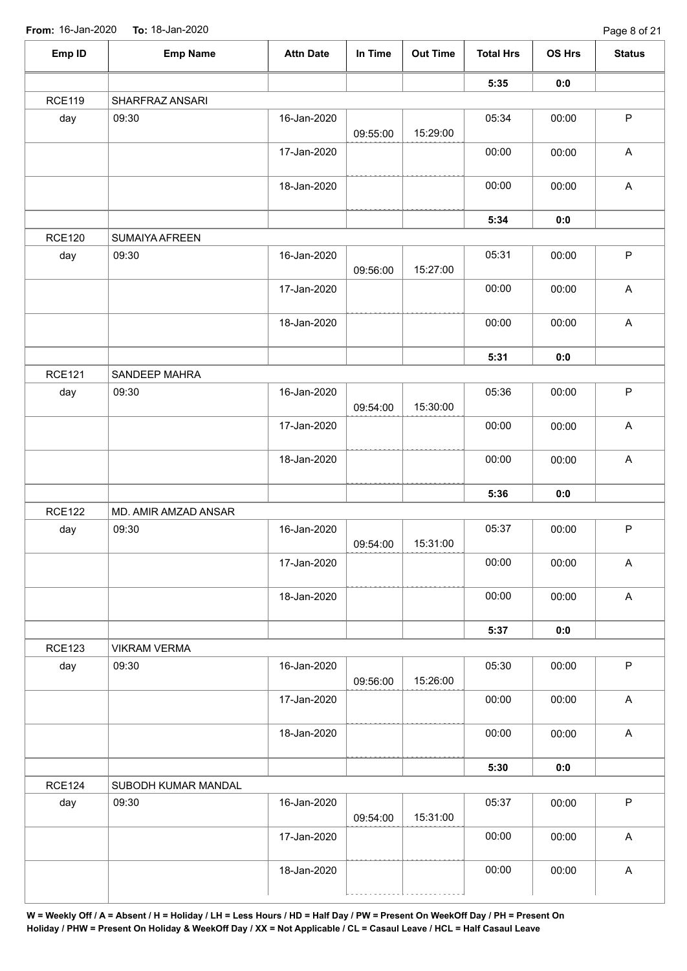| Emp ID        | <b>Emp Name</b>      | <b>Attn Date</b> | In Time  | <b>Out Time</b> | <b>Total Hrs</b> | OS Hrs | <b>Status</b>             |
|---------------|----------------------|------------------|----------|-----------------|------------------|--------|---------------------------|
|               |                      |                  |          |                 | 5:35             | 0:0    |                           |
| <b>RCE119</b> | SHARFRAZ ANSARI      |                  |          |                 |                  |        |                           |
| day           | 09:30                | 16-Jan-2020      | 09:55:00 | 15:29:00        | 05:34            | 00:00  | $\mathsf{P}$              |
|               |                      | 17-Jan-2020      |          |                 | 00:00            | 00:00  | $\mathsf A$               |
|               |                      | 18-Jan-2020      |          |                 | 00:00            | 00:00  | $\mathsf A$               |
|               |                      |                  |          |                 | 5:34             | 0:0    |                           |
| <b>RCE120</b> | SUMAIYA AFREEN       |                  |          |                 |                  |        |                           |
| day           | 09:30                | 16-Jan-2020      | 09:56:00 | 15:27:00        | 05:31            | 00:00  | $\sf P$                   |
|               |                      | 17-Jan-2020      |          |                 | 00:00            | 00:00  | $\boldsymbol{\mathsf{A}}$ |
|               |                      | 18-Jan-2020      |          |                 | 00:00            | 00:00  | $\mathsf A$               |
|               |                      |                  |          |                 | 5:31             | 0:0    |                           |
| <b>RCE121</b> | SANDEEP MAHRA        |                  |          |                 |                  |        |                           |
| day           | 09:30                | 16-Jan-2020      | 09:54:00 | 15:30:00        | 05:36            | 00:00  | $\sf P$                   |
|               |                      | 17-Jan-2020      |          |                 | 00:00            | 00:00  | $\mathsf A$               |
|               |                      | 18-Jan-2020      |          |                 | 00:00            | 00:00  | $\boldsymbol{\mathsf{A}}$ |
|               |                      |                  |          |                 | 5:36             | 0:0    |                           |
| <b>RCE122</b> | MD. AMIR AMZAD ANSAR |                  |          |                 |                  |        |                           |
| day           | 09:30                | 16-Jan-2020      | 09:54:00 | 15:31:00        | 05:37            | 00:00  | $\mathsf P$               |
|               |                      | 17-Jan-2020      |          |                 | 00:00            | 00:00  | $\mathsf A$               |
|               |                      | 18-Jan-2020      |          |                 | 00:00            | 00:00  | $\mathsf A$               |
|               |                      |                  |          |                 | 5:37             | 0:0    |                           |
| <b>RCE123</b> | <b>VIKRAM VERMA</b>  |                  |          |                 |                  |        |                           |
| day           | 09:30                | 16-Jan-2020      | 09:56:00 | 15:26:00        | 05:30            | 00:00  | $\mathsf{P}$              |
|               |                      | 17-Jan-2020      |          |                 | 00:00            | 00:00  | A                         |
|               |                      | 18-Jan-2020      |          |                 | 00:00            | 00:00  | $\mathsf A$               |
|               |                      |                  |          |                 | 5:30             | 0:0    |                           |
| <b>RCE124</b> | SUBODH KUMAR MANDAL  |                  |          |                 |                  |        |                           |
| day           | 09:30                | 16-Jan-2020      | 09:54:00 | 15:31:00        | 05:37            | 00:00  | $\mathsf P$               |
|               |                      | 17-Jan-2020      |          |                 | 00:00            | 00:00  | $\mathsf A$               |
|               |                      | 18-Jan-2020      |          |                 | 00:00            | 00:00  | $\boldsymbol{\mathsf{A}}$ |
|               |                      |                  |          |                 |                  |        |                           |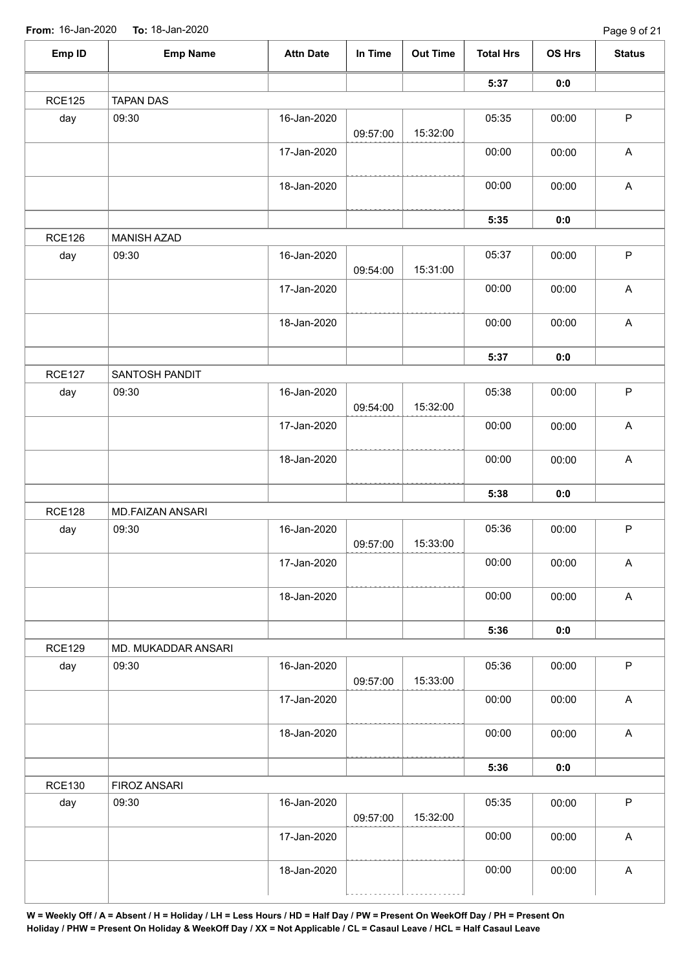| Emp ID        | <b>Emp Name</b>     | <b>Attn Date</b> | In Time  | <b>Out Time</b> | <b>Total Hrs</b> | OS Hrs | <b>Status</b>             |
|---------------|---------------------|------------------|----------|-----------------|------------------|--------|---------------------------|
|               |                     |                  |          |                 | 5:37             | 0:0    |                           |
| <b>RCE125</b> | <b>TAPAN DAS</b>    |                  |          |                 |                  |        |                           |
| day           | 09:30               | 16-Jan-2020      | 09:57:00 | 15:32:00        | 05:35            | 00:00  | $\mathsf P$               |
|               |                     | 17-Jan-2020      |          |                 | 00:00            | 00:00  | $\mathsf A$               |
|               |                     | 18-Jan-2020      |          |                 | 00:00            | 00:00  | $\mathsf A$               |
|               |                     |                  |          |                 | 5:35             | 0:0    |                           |
| <b>RCE126</b> | <b>MANISH AZAD</b>  |                  |          |                 |                  |        |                           |
| day           | 09:30               | 16-Jan-2020      | 09:54:00 | 15:31:00        | 05:37            | 00:00  | $\sf P$                   |
|               |                     | 17-Jan-2020      |          |                 | 00:00            | 00:00  | $\boldsymbol{\mathsf{A}}$ |
|               |                     | 18-Jan-2020      |          |                 | 00:00            | 00:00  | $\boldsymbol{\mathsf{A}}$ |
|               |                     |                  |          | 5:37            | 0:0              |        |                           |
| <b>RCE127</b> | SANTOSH PANDIT      |                  |          |                 |                  |        |                           |
| day           | 09:30               | 16-Jan-2020      | 09:54:00 | 15:32:00        | 05:38            | 00:00  | $\sf P$                   |
|               |                     | 17-Jan-2020      |          |                 | 00:00            | 00:00  | $\mathsf A$               |
|               |                     | 18-Jan-2020      |          |                 | 00:00            | 00:00  | $\mathsf A$               |
|               |                     |                  |          |                 | 5:38             | 0:0    |                           |
| <b>RCE128</b> | MD.FAIZAN ANSARI    |                  |          |                 |                  |        |                           |
| day           | 09:30               | 16-Jan-2020      | 09:57:00 | 15:33:00        | 05:36            | 00:00  | $\mathsf P$               |
|               |                     | 17-Jan-2020      |          |                 | 00:00            | 00:00  | $\boldsymbol{\mathsf{A}}$ |
|               |                     | 18-Jan-2020      |          |                 | 00:00            | 00:00  | $\mathsf A$               |
|               |                     |                  |          |                 | 5:36             | 0:0    |                           |
| <b>RCE129</b> | MD. MUKADDAR ANSARI |                  |          |                 |                  |        |                           |
| day           | 09:30               | 16-Jan-2020      | 09:57:00 | 15:33:00        | 05:36            | 00:00  | $\mathsf{P}$              |
|               |                     | 17-Jan-2020      |          |                 | 00:00            | 00:00  | A                         |
|               |                     | 18-Jan-2020      |          |                 | 00:00            | 00:00  | $\mathsf A$               |
|               |                     |                  |          |                 | 5:36             | 0:0    |                           |
| <b>RCE130</b> | <b>FIROZ ANSARI</b> |                  |          |                 |                  |        |                           |
| day           | 09:30               | 16-Jan-2020      | 09:57:00 | 15:32:00        | 05:35            | 00:00  | $\mathsf P$               |
|               |                     | 17-Jan-2020      |          |                 | 00:00            | 00:00  | $\mathsf A$               |
|               |                     | 18-Jan-2020      |          |                 | 00:00            | 00:00  | $\boldsymbol{\mathsf{A}}$ |
|               |                     |                  |          |                 |                  |        |                           |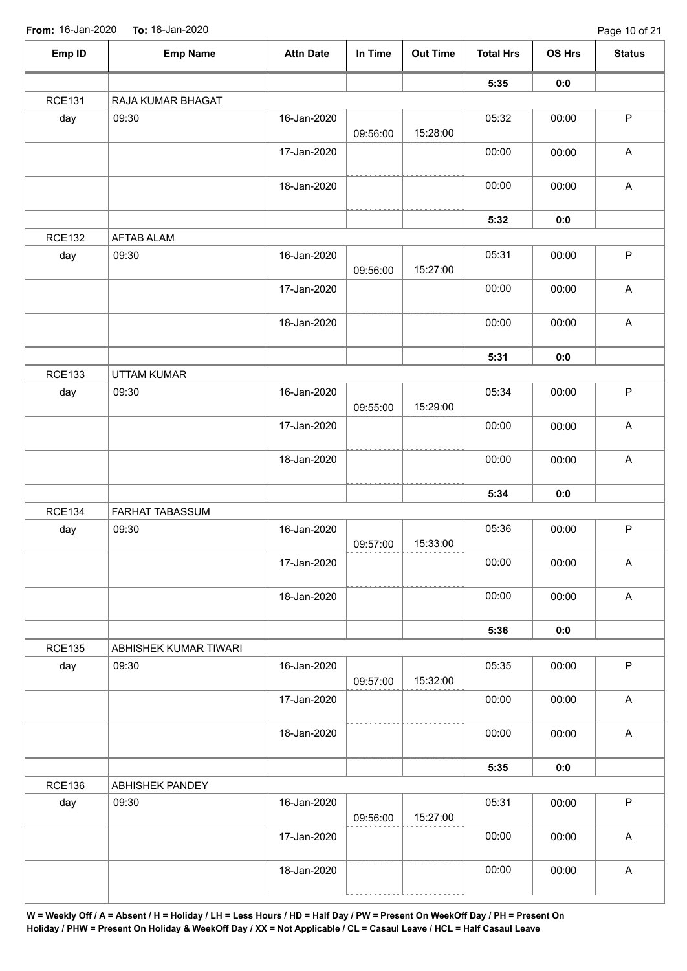| Emp ID        | <b>Emp Name</b>        | <b>Attn Date</b> | In Time  | <b>Out Time</b> | <b>Total Hrs</b> | OS Hrs | <b>Status</b>             |
|---------------|------------------------|------------------|----------|-----------------|------------------|--------|---------------------------|
|               |                        |                  |          |                 | 5:35             | 0:0    |                           |
| <b>RCE131</b> | RAJA KUMAR BHAGAT      |                  |          |                 |                  |        |                           |
| day           | 09:30                  | 16-Jan-2020      | 09:56:00 | 15:28:00        | 05:32            | 00:00  | $\mathsf P$               |
|               |                        | 17-Jan-2020      |          |                 | 00:00            | 00:00  | $\mathsf A$               |
|               |                        | 18-Jan-2020      |          |                 | 00:00            | 00:00  | $\mathsf A$               |
|               |                        |                  |          |                 | 5:32             | 0:0    |                           |
| <b>RCE132</b> | AFTAB ALAM             |                  |          |                 |                  |        |                           |
| day           | 09:30                  | 16-Jan-2020      | 09:56:00 | 15:27:00        | 05:31            | 00:00  | $\sf P$                   |
|               |                        | 17-Jan-2020      |          |                 | 00:00            | 00:00  | $\boldsymbol{\mathsf{A}}$ |
|               |                        | 18-Jan-2020      |          |                 | 00:00            | 00:00  | $\mathsf A$               |
|               |                        |                  |          |                 | 5:31             | 0:0    |                           |
| <b>RCE133</b> | <b>UTTAM KUMAR</b>     |                  |          |                 |                  |        |                           |
| day           | 09:30                  | 16-Jan-2020      | 09:55:00 | 15:29:00        | 05:34            | 00:00  | $\sf P$                   |
|               |                        | 17-Jan-2020      |          |                 | 00:00            | 00:00  | $\boldsymbol{\mathsf{A}}$ |
|               |                        | 18-Jan-2020      |          |                 | 00:00            | 00:00  | $\boldsymbol{\mathsf{A}}$ |
|               |                        |                  |          |                 | 5:34             | 0:0    |                           |
| <b>RCE134</b> | <b>FARHAT TABASSUM</b> |                  |          |                 |                  |        |                           |
| day           | 09:30                  | 16-Jan-2020      | 09:57:00 | 15:33:00        | 05:36            | 00:00  | $\mathsf P$               |
|               |                        | 17-Jan-2020      |          |                 | 00:00            | 00:00  | $\mathsf A$               |
|               |                        | 18-Jan-2020      |          |                 | 00:00            | 00:00  | $\mathsf A$               |
|               |                        |                  |          |                 | 5:36             | 0:0    |                           |
| <b>RCE135</b> | ABHISHEK KUMAR TIWARI  |                  |          |                 |                  |        |                           |
| day           | 09:30                  | 16-Jan-2020      | 09:57:00 | 15:32:00        | 05:35            | 00:00  | $\mathsf{P}$              |
|               |                        | 17-Jan-2020      |          |                 | 00:00            | 00:00  | A                         |
|               |                        | 18-Jan-2020      |          |                 | 00:00            | 00:00  | $\mathsf A$               |
|               |                        |                  |          |                 | 5:35             | 0:0    |                           |
| <b>RCE136</b> | ABHISHEK PANDEY        |                  |          |                 |                  |        |                           |
| day           | 09:30                  | 16-Jan-2020      | 09:56:00 | 15:27:00        | 05:31            | 00:00  | $\mathsf P$               |
|               |                        | 17-Jan-2020      |          |                 | 00:00            | 00:00  | $\boldsymbol{\mathsf{A}}$ |
|               |                        | 18-Jan-2020      |          |                 | 00:00            | 00:00  | $\boldsymbol{\mathsf{A}}$ |
|               |                        |                  |          |                 |                  |        |                           |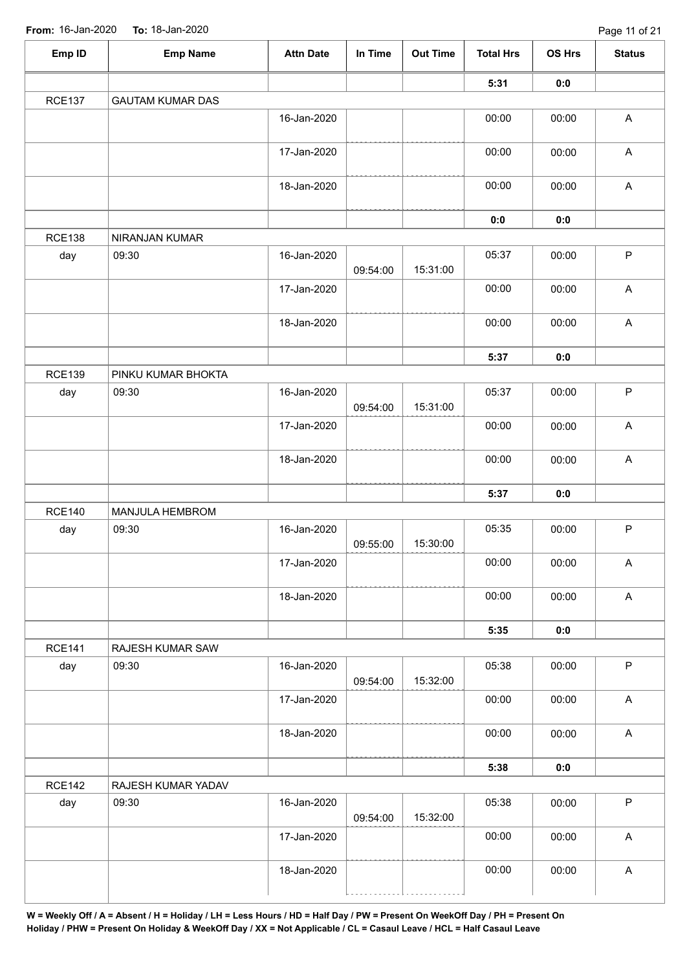| Emp ID        | <b>Emp Name</b>         | <b>Attn Date</b> | In Time  | <b>Out Time</b> | <b>Total Hrs</b> | OS Hrs | <b>Status</b>             |
|---------------|-------------------------|------------------|----------|-----------------|------------------|--------|---------------------------|
|               |                         |                  |          |                 | 5:31             | 0:0    |                           |
| <b>RCE137</b> | <b>GAUTAM KUMAR DAS</b> |                  |          |                 |                  |        |                           |
|               |                         | 16-Jan-2020      |          |                 | 00:00            | 00:00  | $\boldsymbol{\mathsf{A}}$ |
|               |                         | 17-Jan-2020      |          |                 | 00:00            | 00:00  | $\boldsymbol{\mathsf{A}}$ |
|               |                         | 18-Jan-2020      |          |                 | 00:00            | 00:00  | $\boldsymbol{\mathsf{A}}$ |
|               |                         |                  |          |                 | 0:0              | 0:0    |                           |
| <b>RCE138</b> | NIRANJAN KUMAR          |                  |          |                 |                  |        |                           |
| day           | 09:30                   | 16-Jan-2020      | 09:54:00 | 15:31:00        | 05:37            | 00:00  | $\mathsf P$               |
|               |                         | 17-Jan-2020      |          |                 | 00:00            | 00:00  | $\boldsymbol{\mathsf{A}}$ |
|               |                         | 18-Jan-2020      |          |                 | 00:00            | 00:00  | $\boldsymbol{\mathsf{A}}$ |
|               |                         |                  |          |                 | 5:37             | 0:0    |                           |
| <b>RCE139</b> | PINKU KUMAR BHOKTA      |                  |          |                 |                  |        |                           |
| day           | 09:30                   | 16-Jan-2020      | 09:54:00 | 15:31:00        | 05:37            | 00:00  | $\sf P$                   |
|               |                         | 17-Jan-2020      |          |                 | 00:00            | 00:00  | $\boldsymbol{\mathsf{A}}$ |
|               |                         | 18-Jan-2020      |          |                 | 00:00            | 00:00  | $\boldsymbol{\mathsf{A}}$ |
|               |                         |                  |          |                 | 5:37             | 0:0    |                           |
| <b>RCE140</b> | MANJULA HEMBROM         |                  |          |                 |                  |        |                           |
| day           | 09:30                   | 16-Jan-2020      | 09:55:00 | 15:30:00        | 05:35            | 00:00  | $\mathsf P$               |
|               |                         | 17-Jan-2020      |          |                 | 00:00            | 00:00  | $\boldsymbol{\mathsf{A}}$ |
|               |                         | 18-Jan-2020      |          |                 | 00:00            | 00:00  | $\boldsymbol{\mathsf{A}}$ |
|               |                         |                  |          |                 | 5:35             | 0:0    |                           |
| <b>RCE141</b> | RAJESH KUMAR SAW        |                  |          |                 |                  |        |                           |
| day           | 09:30                   | 16-Jan-2020      | 09:54:00 | 15:32:00        | 05:38            | 00:00  | $\mathsf{P}$              |
|               |                         | 17-Jan-2020      |          |                 | 00:00            | 00:00  | A                         |
|               |                         | 18-Jan-2020      |          |                 | 00:00            | 00:00  | $\mathsf A$               |
|               |                         |                  |          |                 | 5:38             | 0:0    |                           |
| <b>RCE142</b> | RAJESH KUMAR YADAV      |                  |          |                 |                  |        |                           |
| day           | 09:30                   | 16-Jan-2020      | 09:54:00 | 15:32:00        | 05:38            | 00:00  | $\mathsf P$               |
|               |                         | 17-Jan-2020      |          |                 | 00:00            | 00:00  | $\boldsymbol{\mathsf{A}}$ |
|               |                         | 18-Jan-2020      |          |                 | 00:00            | 00:00  | $\boldsymbol{\mathsf{A}}$ |
|               |                         |                  |          |                 |                  |        |                           |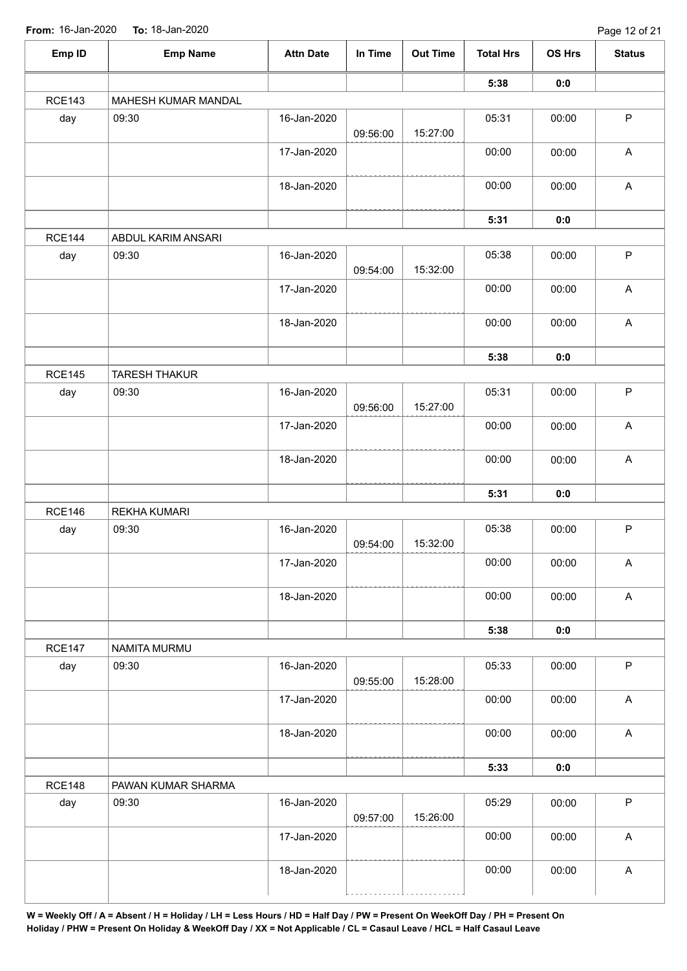| Emp ID        | <b>Emp Name</b>      | <b>Attn Date</b> | In Time  | <b>Out Time</b> | <b>Total Hrs</b> | <b>OS Hrs</b> | <b>Status</b>             |
|---------------|----------------------|------------------|----------|-----------------|------------------|---------------|---------------------------|
|               |                      |                  |          |                 | 5:38             | 0:0           |                           |
| <b>RCE143</b> | MAHESH KUMAR MANDAL  |                  |          |                 |                  |               |                           |
| day           | 09:30                | 16-Jan-2020      | 09:56:00 | 15:27:00        | 05:31            | 00:00         | $\mathsf P$               |
|               |                      | 17-Jan-2020      |          |                 | 00:00            | 00:00         | $\boldsymbol{\mathsf{A}}$ |
|               |                      | 18-Jan-2020      |          |                 | 00:00            | 00:00         | $\boldsymbol{\mathsf{A}}$ |
|               |                      |                  |          |                 | 5:31             | 0:0           |                           |
| <b>RCE144</b> | ABDUL KARIM ANSARI   |                  |          |                 |                  |               |                           |
| day           | 09:30                | 16-Jan-2020      | 09:54:00 | 15:32:00        | 05:38            | 00:00         | $\sf P$                   |
|               |                      | 17-Jan-2020      |          |                 | 00:00            | 00:00         | $\boldsymbol{\mathsf{A}}$ |
|               |                      | 18-Jan-2020      |          |                 | 00:00            | 00:00         | $\boldsymbol{\mathsf{A}}$ |
|               |                      |                  |          |                 | 5:38             | 0:0           |                           |
| <b>RCE145</b> | <b>TARESH THAKUR</b> |                  |          |                 |                  |               |                           |
| day           | 09:30                | 16-Jan-2020      | 09:56:00 | 15:27:00        | 05:31            | 00:00         | $\sf P$                   |
|               |                      | 17-Jan-2020      |          |                 | 00:00            | 00:00         | $\boldsymbol{\mathsf{A}}$ |
|               |                      | 18-Jan-2020      |          |                 | 00:00            | 00:00         | $\boldsymbol{\mathsf{A}}$ |
|               |                      |                  |          |                 | 5:31             | 0:0           |                           |
| <b>RCE146</b> | <b>REKHA KUMARI</b>  |                  |          |                 |                  |               |                           |
| day           | 09:30                | 16-Jan-2020      | 09:54:00 | 15:32:00        | 05:38            | 00:00         | $\sf P$                   |
|               |                      | 17-Jan-2020      |          |                 | 00:00            | 00:00         | $\boldsymbol{\mathsf{A}}$ |
|               |                      | 18-Jan-2020      |          |                 | 00:00            | 00:00         | $\mathsf{A}$              |
|               |                      |                  |          |                 | 5:38             | 0:0           |                           |
| <b>RCE147</b> | NAMITA MURMU         |                  |          |                 |                  |               |                           |
| day           | 09:30                | 16-Jan-2020      | 09:55:00 | 15:28:00        | 05:33            | 00:00         | $\mathsf P$               |
|               |                      | 17-Jan-2020      |          |                 | 00:00            | 00:00         | $\boldsymbol{\mathsf{A}}$ |
|               |                      | 18-Jan-2020      |          |                 | 00:00            | 00:00         | $\mathsf A$               |
|               |                      |                  |          |                 | 5:33             | 0:0           |                           |
| <b>RCE148</b> | PAWAN KUMAR SHARMA   |                  |          |                 |                  |               |                           |
| day           | 09:30                | 16-Jan-2020      | 09:57:00 | 15:26:00        | 05:29            | 00:00         | $\mathsf P$               |
|               |                      | 17-Jan-2020      |          |                 | 00:00            | 00:00         | $\boldsymbol{\mathsf{A}}$ |
|               |                      | 18-Jan-2020      |          |                 | 00:00            | 00:00         | $\mathsf A$               |
|               |                      |                  |          |                 |                  |               |                           |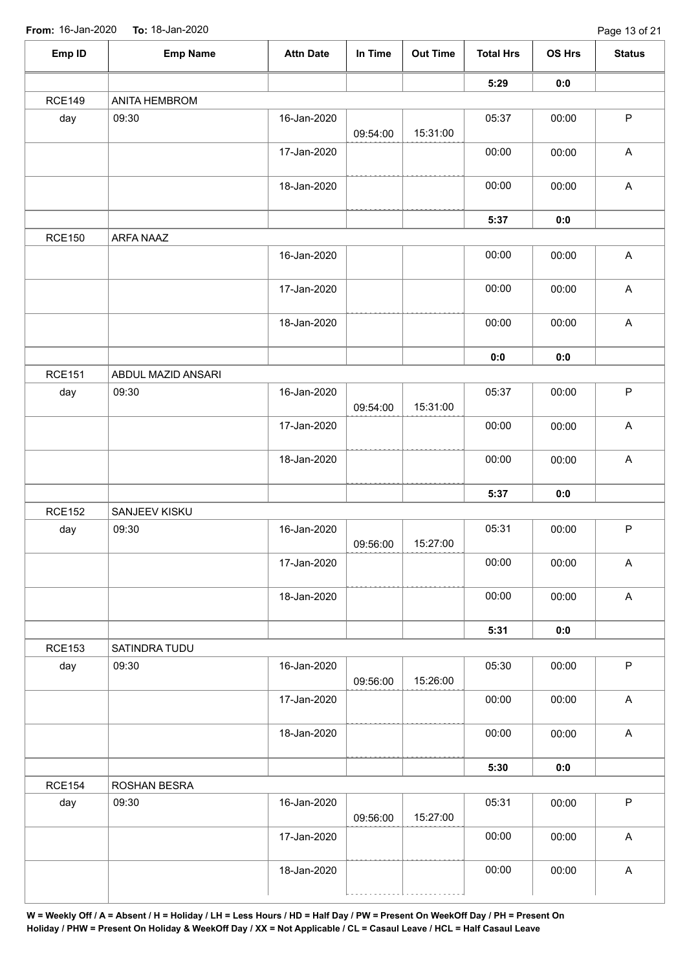| Emp ID        | <b>Emp Name</b>    | <b>Attn Date</b> | In Time  | <b>Out Time</b> | <b>Total Hrs</b> | OS Hrs | <b>Status</b>             |
|---------------|--------------------|------------------|----------|-----------------|------------------|--------|---------------------------|
|               |                    |                  |          |                 | 5:29             | 0:0    |                           |
| <b>RCE149</b> | ANITA HEMBROM      |                  |          |                 |                  |        |                           |
| day           | 09:30              | 16-Jan-2020      | 09:54:00 | 15:31:00        | 05:37            | 00:00  | $\mathsf P$               |
|               |                    | 17-Jan-2020      |          |                 | 00:00            | 00:00  | $\boldsymbol{\mathsf{A}}$ |
|               |                    | 18-Jan-2020      |          |                 | 00:00            | 00:00  | $\boldsymbol{\mathsf{A}}$ |
|               |                    |                  |          |                 | 5:37             | 0:0    |                           |
| <b>RCE150</b> | ARFA NAAZ          |                  |          |                 |                  |        |                           |
|               |                    | 16-Jan-2020      |          |                 | 00:00            | 00:00  | $\mathsf A$               |
|               |                    | 17-Jan-2020      |          |                 | 00:00            | 00:00  | $\mathsf A$               |
|               |                    | 18-Jan-2020      |          |                 | 00:00            | 00:00  | $\boldsymbol{\mathsf{A}}$ |
|               |                    |                  |          |                 | 0:0              | 0:0    |                           |
| <b>RCE151</b> | ABDUL MAZID ANSARI |                  |          |                 |                  |        |                           |
| day           | 09:30              | 16-Jan-2020      | 09:54:00 | 15:31:00        | 05:37            | 00:00  | $\sf P$                   |
|               |                    | 17-Jan-2020      |          |                 | 00:00            | 00:00  | $\boldsymbol{\mathsf{A}}$ |
|               |                    | 18-Jan-2020      |          |                 | 00:00            | 00:00  | $\mathsf A$               |
|               |                    |                  |          |                 | 5:37             | 0:0    |                           |
| <b>RCE152</b> | SANJEEV KISKU      |                  |          |                 |                  |        |                           |
| day           | 09:30              | 16-Jan-2020      | 09:56:00 | 15:27:00        | 05:31            | 00:00  | $\sf P$                   |
|               |                    | 17-Jan-2020      |          |                 | 00:00            | 00:00  | $\mathsf A$               |
|               |                    | 18-Jan-2020      |          |                 | 00:00            | 00:00  | $\boldsymbol{\mathsf{A}}$ |
|               |                    |                  |          |                 | 5:31             | 0:0    |                           |
| <b>RCE153</b> | SATINDRA TUDU      |                  |          |                 |                  |        |                           |
| day           | 09:30              | 16-Jan-2020      | 09:56:00 | 15:26:00        | 05:30            | 00:00  | $\mathsf P$               |
|               |                    | 17-Jan-2020      |          |                 | 00:00            | 00:00  | $\boldsymbol{\mathsf{A}}$ |
|               |                    | 18-Jan-2020      |          |                 | 00:00            | 00:00  | $\mathsf A$               |
|               |                    |                  |          |                 | 5:30             | 0:0    |                           |
| <b>RCE154</b> | ROSHAN BESRA       |                  |          |                 |                  |        |                           |
| day           | 09:30              | 16-Jan-2020      | 09:56:00 | 15:27:00        | 05:31            | 00:00  | $\mathsf P$               |
|               |                    | 17-Jan-2020      |          |                 | 00:00            | 00:00  | $\boldsymbol{\mathsf{A}}$ |
|               |                    | 18-Jan-2020      |          |                 | 00:00            | 00:00  | $\boldsymbol{\mathsf{A}}$ |
|               |                    |                  |          |                 |                  |        |                           |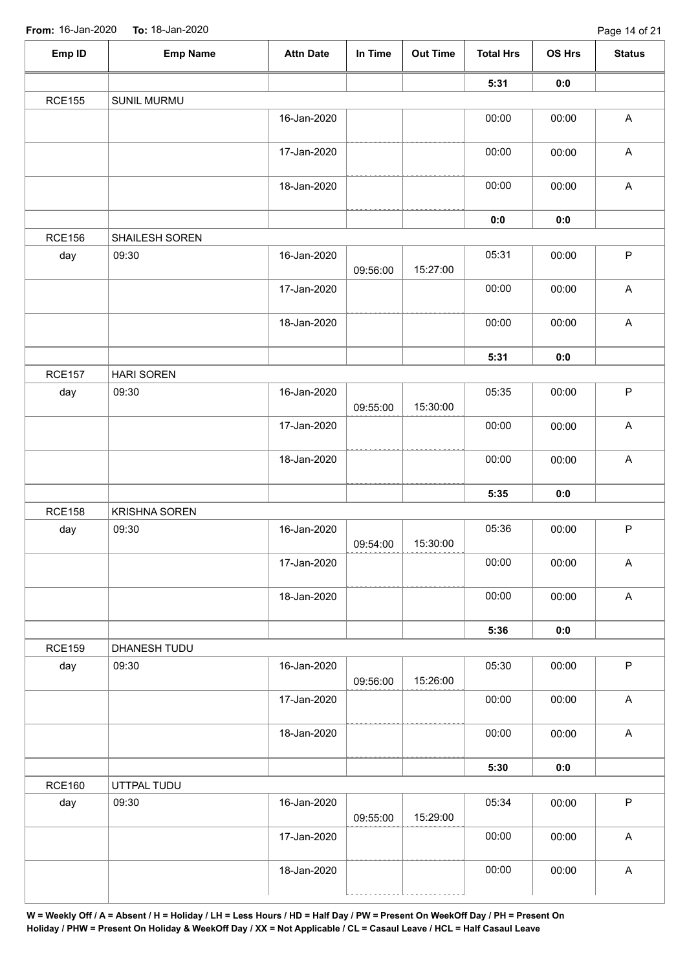| Emp ID        | <b>Emp Name</b>      | <b>Attn Date</b> | In Time  | <b>Out Time</b> | <b>Total Hrs</b> | <b>OS Hrs</b> | <b>Status</b>             |
|---------------|----------------------|------------------|----------|-----------------|------------------|---------------|---------------------------|
|               |                      |                  |          |                 | 5:31             | 0:0           |                           |
| <b>RCE155</b> | SUNIL MURMU          |                  |          |                 |                  |               |                           |
|               |                      | 16-Jan-2020      |          |                 | 00:00            | 00:00         | $\boldsymbol{\mathsf{A}}$ |
|               |                      | 17-Jan-2020      |          |                 | 00:00            | 00:00         | $\boldsymbol{\mathsf{A}}$ |
|               |                      | 18-Jan-2020      |          |                 | 00:00            | 00:00         | $\boldsymbol{\mathsf{A}}$ |
|               |                      |                  |          |                 | $\mathbf{0}$ 0   | 0:0           |                           |
| <b>RCE156</b> | SHAILESH SOREN       |                  |          |                 |                  |               |                           |
| day           | 09:30                | 16-Jan-2020      | 09:56:00 | 15:27:00        | 05:31            | 00:00         | $\sf P$                   |
|               |                      | 17-Jan-2020      |          |                 | 00:00            | 00:00         | $\boldsymbol{\mathsf{A}}$ |
|               |                      | 18-Jan-2020      |          |                 | 00:00            | 00:00         | $\mathsf A$               |
|               |                      |                  |          |                 | 5:31             | 0:0           |                           |
| <b>RCE157</b> | <b>HARI SOREN</b>    |                  |          |                 |                  |               |                           |
| day           | 09:30                | 16-Jan-2020      | 09:55:00 | 15:30:00        | 05:35            | 00:00         | $\mathsf P$               |
|               |                      | 17-Jan-2020      |          |                 | 00:00            | 00:00         | $\boldsymbol{\mathsf{A}}$ |
|               |                      | 18-Jan-2020      |          |                 | 00:00            | 00:00         | $\mathsf A$               |
|               |                      |                  |          |                 | 5:35             | 0:0           |                           |
| <b>RCE158</b> | <b>KRISHNA SOREN</b> |                  |          |                 |                  |               |                           |
| day           | 09:30                | 16-Jan-2020      | 09:54:00 | 15:30:00        | 05:36            | 00:00         | $\sf P$                   |
|               |                      | 17-Jan-2020      |          |                 | 00:00            | 00:00         | $\boldsymbol{\mathsf{A}}$ |
|               |                      | 18-Jan-2020      |          |                 | 00:00            | 00:00         | $\mathsf A$               |
|               |                      |                  |          |                 | 5:36             | 0:0           |                           |
| <b>RCE159</b> | DHANESH TUDU         |                  |          |                 |                  |               |                           |
| day           | 09:30                | 16-Jan-2020      | 09:56:00 | 15:26:00        | 05:30            | 00:00         | $\mathsf P$               |
|               |                      | 17-Jan-2020      |          |                 | 00:00            | 00:00         | $\boldsymbol{\mathsf{A}}$ |
|               |                      | 18-Jan-2020      |          |                 | 00:00            | 00:00         | $\boldsymbol{\mathsf{A}}$ |
|               |                      |                  |          |                 | 5:30             | 0:0           |                           |
| <b>RCE160</b> | UTTPAL TUDU          |                  |          |                 |                  |               |                           |
| day           | 09:30                | 16-Jan-2020      | 09:55:00 | 15:29:00        | 05:34            | 00:00         | $\mathsf P$               |
|               |                      | 17-Jan-2020      |          |                 | 00:00            | 00:00         | $\boldsymbol{\mathsf{A}}$ |
|               |                      | 18-Jan-2020      |          |                 | 00:00            | 00:00         | $\boldsymbol{\mathsf{A}}$ |
|               |                      |                  |          |                 |                  |               |                           |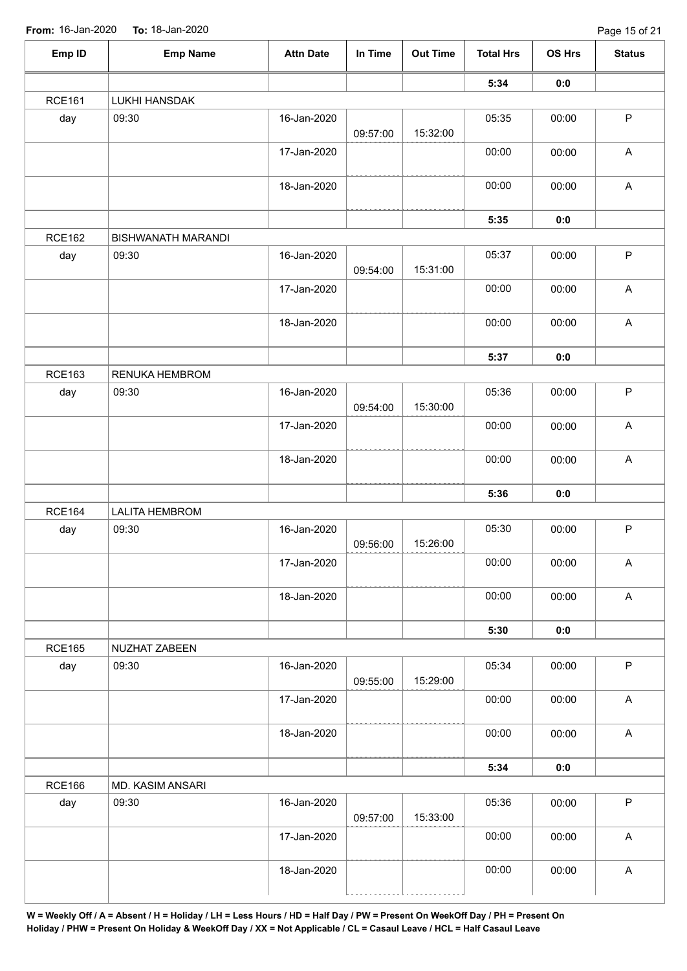| Emp ID        | <b>Emp Name</b>           | <b>Attn Date</b> | In Time  | <b>Out Time</b> | <b>Total Hrs</b> | OS Hrs | <b>Status</b>             |
|---------------|---------------------------|------------------|----------|-----------------|------------------|--------|---------------------------|
|               |                           |                  |          |                 | 5:34             | 0:0    |                           |
| <b>RCE161</b> | <b>LUKHI HANSDAK</b>      |                  |          |                 |                  |        |                           |
| day           | 09:30                     | 16-Jan-2020      | 09:57:00 | 15:32:00        | 05:35            | 00:00  | $\mathsf{P}$              |
|               |                           | 17-Jan-2020      |          |                 | 00:00            | 00:00  | $\boldsymbol{\mathsf{A}}$ |
|               |                           | 18-Jan-2020      |          |                 | 00:00            | 00:00  | $\mathsf A$               |
|               |                           |                  |          |                 | 5:35             | 0:0    |                           |
| <b>RCE162</b> | <b>BISHWANATH MARANDI</b> |                  |          |                 |                  |        |                           |
| day           | 09:30                     | 16-Jan-2020      | 09:54:00 | 15:31:00        | 05:37            | 00:00  | $\mathsf P$               |
|               |                           | 17-Jan-2020      |          |                 | 00:00            | 00:00  | $\boldsymbol{\mathsf{A}}$ |
|               |                           | 18-Jan-2020      |          |                 | 00:00            | 00:00  | $\boldsymbol{\mathsf{A}}$ |
|               |                           |                  |          |                 | 5:37             | 0:0    |                           |
| <b>RCE163</b> | RENUKA HEMBROM            |                  |          |                 |                  |        |                           |
| day           | 09:30                     | 16-Jan-2020      | 09:54:00 | 15:30:00        | 05:36            | 00:00  | $\sf P$                   |
|               |                           | 17-Jan-2020      |          |                 | 00:00            | 00:00  | $\boldsymbol{\mathsf{A}}$ |
|               |                           | 18-Jan-2020      |          |                 | 00:00            | 00:00  | $\boldsymbol{\mathsf{A}}$ |
|               |                           |                  |          |                 | 5:36             | 0:0    |                           |
| <b>RCE164</b> | <b>LALITA HEMBROM</b>     |                  |          |                 |                  |        |                           |
| day           | 09:30                     | 16-Jan-2020      | 09:56:00 | 15:26:00        | 05:30            | 00:00  | $\mathsf P$               |
|               |                           | 17-Jan-2020      |          |                 | 00:00            | 00:00  | $\mathsf A$               |
|               |                           | 18-Jan-2020      |          |                 | 00:00            | 00:00  | $\boldsymbol{\mathsf{A}}$ |
|               |                           |                  |          |                 | 5:30             | 0:0    |                           |
| <b>RCE165</b> | NUZHAT ZABEEN             |                  |          |                 |                  |        |                           |
| day           | 09:30                     | 16-Jan-2020      | 09:55:00 | 15:29:00        | 05:34            | 00:00  | $\mathsf{P}$              |
|               |                           | 17-Jan-2020      |          |                 | 00:00            | 00:00  | A                         |
|               |                           | 18-Jan-2020      |          |                 | 00:00            | 00:00  | $\mathsf A$               |
|               |                           |                  |          |                 | 5:34             | 0:0    |                           |
| <b>RCE166</b> | MD. KASIM ANSARI          |                  |          |                 |                  |        |                           |
| day           | 09:30                     | 16-Jan-2020      | 09:57:00 | 15:33:00        | 05:36            | 00:00  | $\mathsf P$               |
|               |                           | 17-Jan-2020      |          |                 | 00:00            | 00:00  | $\mathsf A$               |
|               |                           | 18-Jan-2020      |          |                 | 00:00            | 00:00  | $\boldsymbol{\mathsf{A}}$ |
|               |                           |                  |          |                 |                  |        |                           |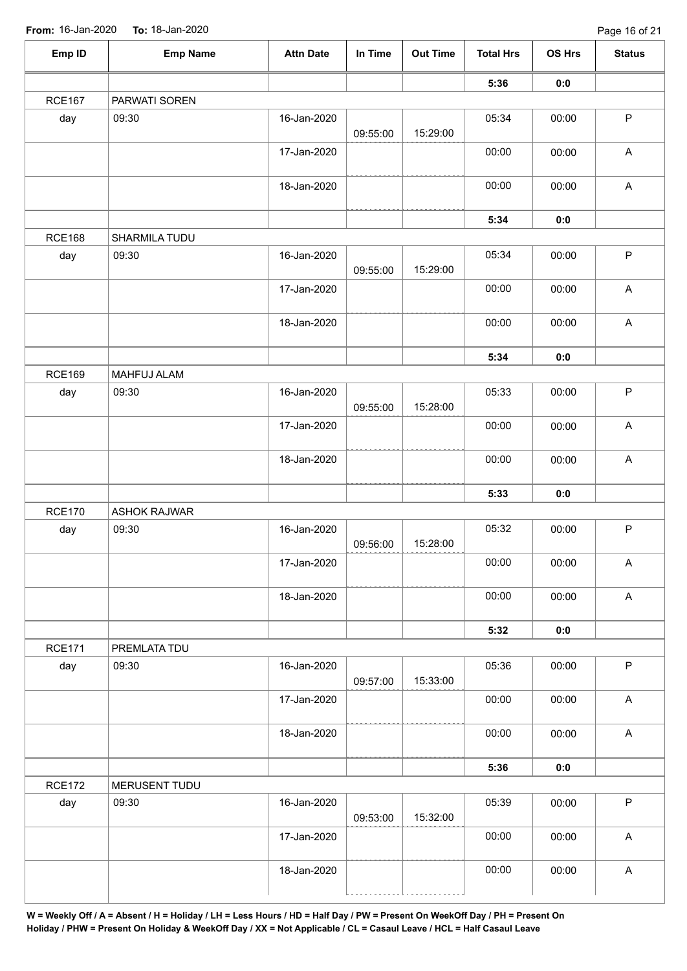| Emp ID        | <b>Emp Name</b>     | <b>Attn Date</b> | In Time  | <b>Out Time</b> | <b>Total Hrs</b> | OS Hrs | <b>Status</b>             |
|---------------|---------------------|------------------|----------|-----------------|------------------|--------|---------------------------|
|               |                     |                  |          |                 | 5:36             | 0:0    |                           |
| <b>RCE167</b> | PARWATI SOREN       |                  |          |                 |                  |        |                           |
| day           | 09:30               | 16-Jan-2020      | 09:55:00 | 15:29:00        | 05:34            | 00:00  | $\mathsf P$               |
|               |                     | 17-Jan-2020      |          |                 | 00:00            | 00:00  | $\mathsf A$               |
|               |                     | 18-Jan-2020      |          |                 | 00:00            | 00:00  | $\mathsf A$               |
|               |                     |                  |          |                 | 5:34             | 0:0    |                           |
| <b>RCE168</b> | SHARMILA TUDU       |                  |          |                 |                  |        |                           |
| day           | 09:30               | 16-Jan-2020      | 09:55:00 | 15:29:00        | 05:34            | 00:00  | $\sf P$                   |
|               |                     | 17-Jan-2020      |          |                 | 00:00            | 00:00  | $\boldsymbol{\mathsf{A}}$ |
|               |                     | 18-Jan-2020      |          |                 | 00:00            | 00:00  | $\mathsf A$               |
|               |                     |                  |          |                 | 5:34             | 0:0    |                           |
| <b>RCE169</b> | <b>MAHFUJ ALAM</b>  |                  |          |                 |                  |        |                           |
| day           | 09:30               | 16-Jan-2020      | 09:55:00 | 15:28:00        | 05:33            | 00:00  | $\sf P$                   |
|               |                     | 17-Jan-2020      |          |                 | 00:00            | 00:00  | $\boldsymbol{\mathsf{A}}$ |
|               |                     | 18-Jan-2020      |          |                 | 00:00            | 00:00  | $\boldsymbol{\mathsf{A}}$ |
|               |                     |                  |          |                 | 5:33             | 0:0    |                           |
| <b>RCE170</b> | <b>ASHOK RAJWAR</b> |                  |          |                 |                  |        |                           |
| day           | 09:30               | 16-Jan-2020      | 09:56:00 | 15:28:00        | 05:32            | 00:00  | $\sf P$                   |
|               |                     | 17-Jan-2020      |          |                 | 00:00            | 00:00  | $\mathsf A$               |
|               |                     | 18-Jan-2020      |          |                 | 00:00            | 00:00  | $\mathsf A$               |
|               |                     |                  |          |                 | 5:32             | 0:0    |                           |
| <b>RCE171</b> | PREMLATA TDU        |                  |          |                 |                  |        |                           |
| day           | 09:30               | 16-Jan-2020      | 09:57:00 | 15:33:00        | 05:36            | 00:00  | $\mathsf P$               |
|               |                     | 17-Jan-2020      |          |                 | 00:00            | 00:00  | A                         |
|               |                     | 18-Jan-2020      |          |                 | 00:00            | 00:00  | $\mathsf A$               |
|               |                     |                  |          |                 | 5:36             | 0:0    |                           |
| <b>RCE172</b> | MERUSENT TUDU       |                  |          |                 |                  |        |                           |
| day           | 09:30               | 16-Jan-2020      | 09:53:00 | 15:32:00        | 05:39            | 00:00  | $\mathsf P$               |
|               |                     | 17-Jan-2020      |          |                 | 00:00            | 00:00  | $\mathsf A$               |
|               |                     | 18-Jan-2020      |          |                 | 00:00            | 00:00  | $\boldsymbol{\mathsf{A}}$ |
|               |                     |                  |          |                 |                  |        |                           |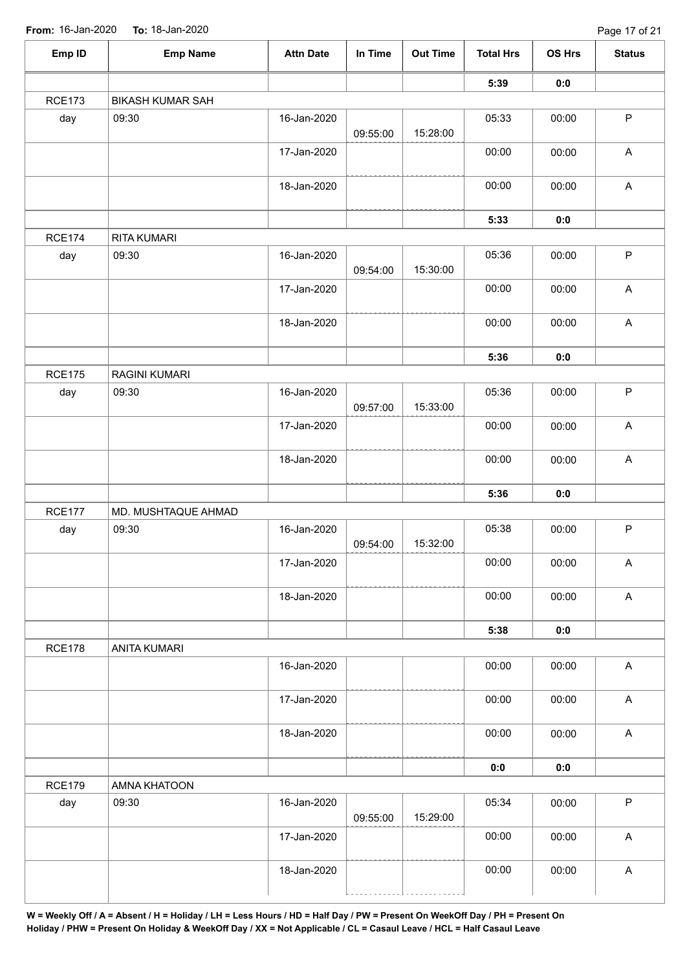| Emp ID        | <b>Emp Name</b>         | <b>Attn Date</b> | In Time  | <b>Out Time</b> | <b>Total Hrs</b> | OS Hrs | <b>Status</b>             |
|---------------|-------------------------|------------------|----------|-----------------|------------------|--------|---------------------------|
|               |                         |                  |          |                 | 5:39             | 0:0    |                           |
| <b>RCE173</b> | <b>BIKASH KUMAR SAH</b> |                  |          |                 |                  |        |                           |
| day           | 09:30                   | 16-Jan-2020      | 09:55:00 | 15:28:00        | 05:33            | 00:00  | $\mathsf P$               |
|               |                         | 17-Jan-2020      |          |                 | 00:00            | 00:00  | $\mathsf A$               |
|               |                         | 18-Jan-2020      |          |                 | 00:00            | 00:00  | $\mathsf A$               |
|               |                         |                  |          |                 | 5:33             | 0:0    |                           |
| <b>RCE174</b> | RITA KUMARI             |                  |          |                 |                  |        |                           |
| day           | 09:30                   | 16-Jan-2020      | 09:54:00 | 15:30:00        | 05:36            | 00:00  | $\sf P$                   |
|               |                         | 17-Jan-2020      |          |                 | 00:00            | 00:00  | $\boldsymbol{\mathsf{A}}$ |
|               |                         | 18-Jan-2020      |          |                 | 00:00            | 00:00  | $\mathsf A$               |
|               |                         |                  |          |                 | 5:36             | 0:0    |                           |
| <b>RCE175</b> | <b>RAGINI KUMARI</b>    |                  |          |                 |                  |        |                           |
| day           | 09:30                   | 16-Jan-2020      | 09:57:00 | 15:33:00        | 05:36            | 00:00  | $\sf P$                   |
|               |                         | 17-Jan-2020      |          |                 | 00:00            | 00:00  | $\boldsymbol{\mathsf{A}}$ |
|               |                         | 18-Jan-2020      |          |                 | 00:00            | 00:00  | $\boldsymbol{\mathsf{A}}$ |
|               |                         |                  |          |                 | 5:36             | 0:0    |                           |
| <b>RCE177</b> | MD. MUSHTAQUE AHMAD     |                  |          |                 |                  |        |                           |
| day           | 09:30                   | 16-Jan-2020      | 09:54:00 | 15:32:00        | 05:38            | 00:00  | $\sf P$                   |
|               |                         | 17-Jan-2020      |          |                 | 00:00            | 00:00  | $\mathsf A$               |
|               |                         | 18-Jan-2020      |          |                 | 00:00            | 00:00  | $\mathsf A$               |
|               |                         |                  |          |                 | 5:38             | 0:0    |                           |
| <b>RCE178</b> | <b>ANITA KUMARI</b>     |                  |          |                 |                  |        |                           |
|               |                         | 16-Jan-2020      |          |                 | 00:00            | 00:00  | $\mathsf A$               |
|               |                         | 17-Jan-2020      |          |                 | 00:00            | 00:00  | A                         |
|               |                         | 18-Jan-2020      |          |                 | 00:00            | 00:00  | $\mathsf A$               |
|               |                         |                  |          |                 | 0:0              | 0:0    |                           |
| <b>RCE179</b> | AMNA KHATOON            |                  |          |                 |                  |        |                           |
| day           | 09:30                   | 16-Jan-2020      | 09:55:00 | 15:29:00        | 05:34            | 00:00  | $\mathsf P$               |
|               |                         | 17-Jan-2020      |          |                 | 00:00            | 00:00  | $\mathsf A$               |
|               |                         | 18-Jan-2020      |          |                 | 00:00            | 00:00  | $\mathsf A$               |
|               |                         |                  |          |                 |                  |        |                           |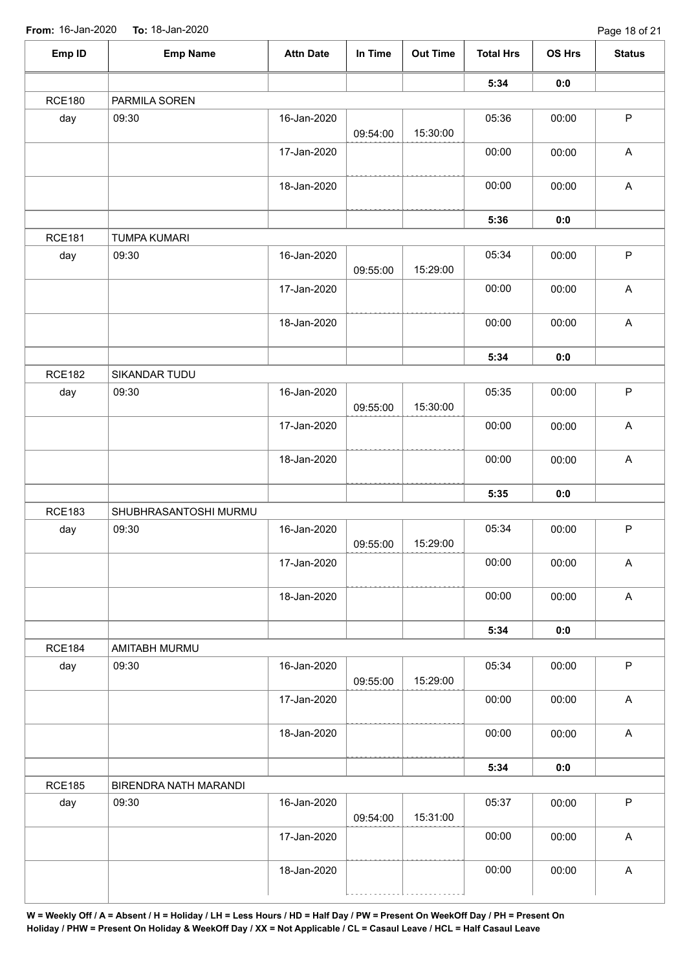| Emp ID        | <b>Emp Name</b>       | <b>Attn Date</b> | In Time  | <b>Out Time</b> | <b>Total Hrs</b> | OS Hrs | <b>Status</b>             |
|---------------|-----------------------|------------------|----------|-----------------|------------------|--------|---------------------------|
|               |                       |                  |          |                 | 5:34             | 0:0    |                           |
| <b>RCE180</b> | PARMILA SOREN         |                  |          |                 |                  |        |                           |
| day           | 09:30                 | 16-Jan-2020      | 09:54:00 | 15:30:00        | 05:36            | 00:00  | $\mathsf P$               |
|               |                       | 17-Jan-2020      |          |                 | 00:00            | 00:00  | A                         |
|               |                       | 18-Jan-2020      |          |                 | 00:00            | 00:00  | $\mathsf A$               |
|               |                       |                  |          |                 | 5:36             | 0:0    |                           |
| <b>RCE181</b> | <b>TUMPA KUMARI</b>   |                  |          |                 |                  |        |                           |
| day           | 09:30                 | 16-Jan-2020      | 09:55:00 | 15:29:00        | 05:34            | 00:00  | $\mathsf P$               |
|               |                       | 17-Jan-2020      |          |                 | 00:00            | 00:00  | $\mathsf A$               |
|               |                       | 18-Jan-2020      |          |                 | 00:00            | 00:00  | $\mathsf A$               |
|               |                       |                  |          |                 | 5:34             | 0:0    |                           |
| <b>RCE182</b> | SIKANDAR TUDU         |                  |          |                 |                  |        |                           |
| day           | 09:30                 | 16-Jan-2020      | 09:55:00 | 15:30:00        | 05:35            | 00:00  | $\mathsf P$               |
|               |                       | 17-Jan-2020      |          |                 | 00:00            | 00:00  | $\mathsf A$               |
|               |                       | 18-Jan-2020      |          |                 | 00:00            | 00:00  | $\boldsymbol{\mathsf{A}}$ |
|               |                       |                  |          |                 | 5:35             | 0:0    |                           |
| <b>RCE183</b> | SHUBHRASANTOSHI MURMU |                  |          |                 |                  |        |                           |
| day           | 09:30                 | 16-Jan-2020      | 09:55:00 | 15:29:00        | 05:34            | 00:00  | $\mathsf P$               |
|               |                       | 17-Jan-2020      |          |                 | 00:00            | 00:00  | $\boldsymbol{\mathsf{A}}$ |
|               |                       | 18-Jan-2020      |          |                 | 00:00            | 00:00  | $\mathsf A$               |
|               |                       |                  |          |                 | 5:34             | 0:0    |                           |
| <b>RCE184</b> | AMITABH MURMU         |                  |          |                 |                  |        |                           |
| day           | 09:30                 | 16-Jan-2020      | 09:55:00 | 15:29:00        | 05:34            | 00:00  | $\mathsf{P}$              |
|               |                       | 17-Jan-2020      |          |                 | 00:00            | 00:00  | A                         |
|               |                       | 18-Jan-2020      |          |                 | 00:00            | 00:00  | $\mathsf A$               |
|               |                       |                  |          |                 | 5:34             | 0:0    |                           |
| <b>RCE185</b> | BIRENDRA NATH MARANDI |                  |          |                 |                  |        |                           |
| day           | 09:30                 | 16-Jan-2020      | 09:54:00 | 15:31:00        | 05:37            | 00:00  | $\mathsf P$               |
|               |                       | 17-Jan-2020      |          |                 | 00:00            | 00:00  | $\mathsf A$               |
|               |                       | 18-Jan-2020      |          |                 | 00:00            | 00:00  | $\mathsf A$               |
|               |                       |                  |          |                 |                  |        |                           |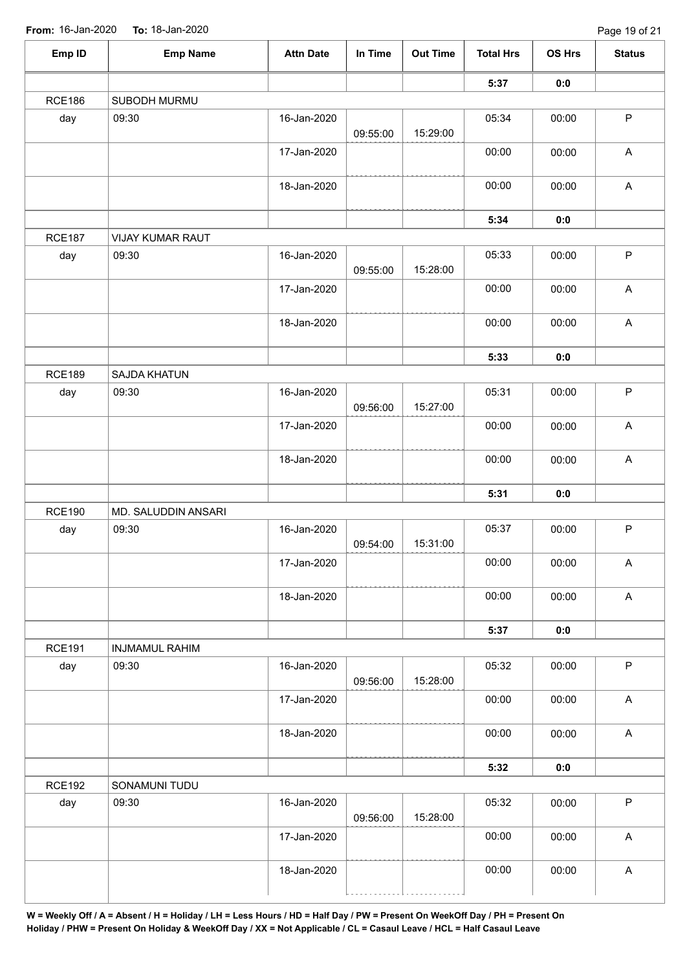| Emp ID        | <b>Emp Name</b>       | <b>Attn Date</b> | In Time  | <b>Out Time</b> | <b>Total Hrs</b> | OS Hrs | <b>Status</b>             |
|---------------|-----------------------|------------------|----------|-----------------|------------------|--------|---------------------------|
|               |                       |                  |          |                 | 5:37             | 0:0    |                           |
| <b>RCE186</b> | SUBODH MURMU          |                  |          |                 |                  |        |                           |
| day           | 09:30                 | 16-Jan-2020      | 09:55:00 | 15:29:00        | 05:34            | 00:00  | $\mathsf P$               |
|               |                       | 17-Jan-2020      |          |                 | 00:00            | 00:00  | $\mathsf A$               |
|               |                       | 18-Jan-2020      |          |                 | 00:00            | 00:00  | $\mathsf A$               |
|               |                       |                  |          |                 | 5:34             | 0:0    |                           |
| <b>RCE187</b> | VIJAY KUMAR RAUT      |                  |          |                 |                  |        |                           |
| day           | 09:30                 | 16-Jan-2020      | 09:55:00 | 15:28:00        | 05:33            | 00:00  | $\sf P$                   |
|               |                       | 17-Jan-2020      |          |                 | 00:00            | 00:00  | $\boldsymbol{\mathsf{A}}$ |
|               |                       | 18-Jan-2020      |          |                 | 00:00            | 00:00  | $\mathsf A$               |
|               |                       |                  |          |                 | 5:33             | 0:0    |                           |
| <b>RCE189</b> | SAJDA KHATUN          |                  |          |                 |                  |        |                           |
| day           | 09:30                 | 16-Jan-2020      | 09:56:00 | 15:27:00        | 05:31            | 00:00  | $\sf P$                   |
|               |                       | 17-Jan-2020      |          |                 | 00:00            | 00:00  | $\boldsymbol{\mathsf{A}}$ |
|               |                       | 18-Jan-2020      |          |                 | 00:00            | 00:00  | $\boldsymbol{\mathsf{A}}$ |
|               |                       |                  |          |                 | 5:31             | 0:0    |                           |
| <b>RCE190</b> | MD. SALUDDIN ANSARI   |                  |          |                 |                  |        |                           |
| day           | 09:30                 | 16-Jan-2020      | 09:54:00 | 15:31:00        | 05:37            | 00:00  | $\sf P$                   |
|               |                       | 17-Jan-2020      |          |                 | 00:00            | 00:00  | $\mathsf A$               |
|               |                       | 18-Jan-2020      |          |                 | 00:00            | 00:00  | $\mathsf A$               |
|               |                       |                  |          |                 | 5:37             | 0:0    |                           |
| <b>RCE191</b> | <b>INJMAMUL RAHIM</b> |                  |          |                 |                  |        |                           |
| day           | 09:30                 | 16-Jan-2020      | 09:56:00 | 15:28:00        | 05:32            | 00:00  | $\mathsf{P}$              |
|               |                       | 17-Jan-2020      |          |                 | 00:00            | 00:00  | A                         |
|               |                       | 18-Jan-2020      |          |                 | 00:00            | 00:00  | $\mathsf A$               |
|               |                       |                  |          |                 | 5:32             | 0:0    |                           |
| <b>RCE192</b> | SONAMUNI TUDU         |                  |          |                 |                  |        |                           |
| day           | 09:30                 | 16-Jan-2020      | 09:56:00 | 15:28:00        | 05:32            | 00:00  | $\mathsf P$               |
|               |                       | 17-Jan-2020      |          |                 | 00:00            | 00:00  | $\mathsf A$               |
|               |                       | 18-Jan-2020      |          |                 | 00:00            | 00:00  | $\boldsymbol{\mathsf{A}}$ |
|               |                       |                  |          |                 |                  |        |                           |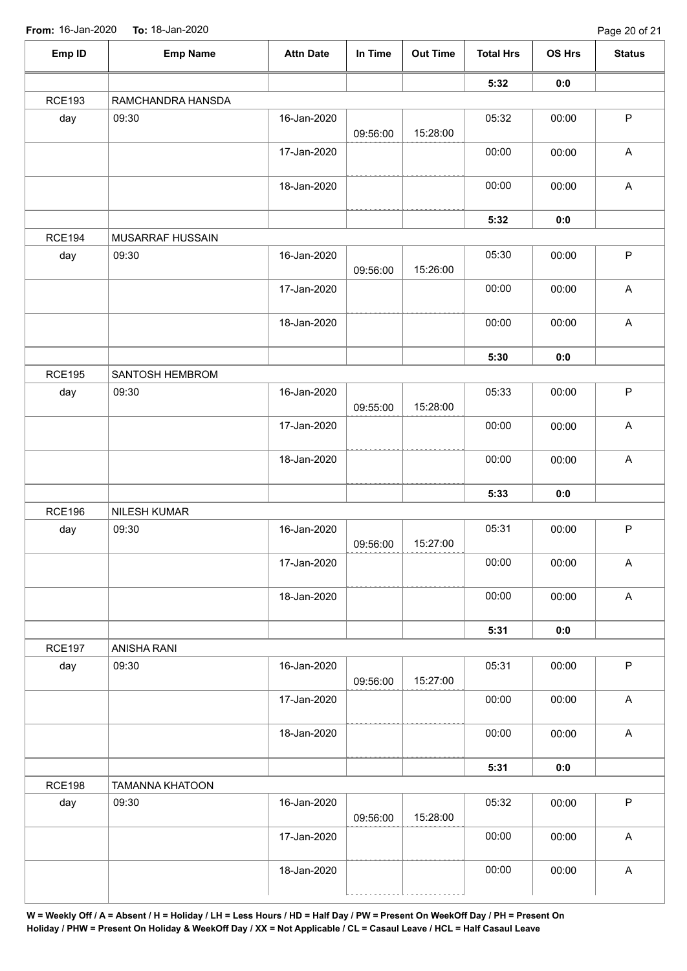| Emp ID        | <b>Emp Name</b>        | <b>Attn Date</b> | In Time  | <b>Out Time</b> | <b>Total Hrs</b> | OS Hrs | <b>Status</b>             |
|---------------|------------------------|------------------|----------|-----------------|------------------|--------|---------------------------|
|               |                        |                  |          |                 | 5:32             | 0:0    |                           |
| <b>RCE193</b> | RAMCHANDRA HANSDA      |                  |          |                 |                  |        |                           |
| day           | 09:30                  | 16-Jan-2020      | 09:56:00 | 15:28:00        | 05:32            | 00:00  | $\mathsf P$               |
|               |                        | 17-Jan-2020      |          |                 | 00:00            | 00:00  | A                         |
|               |                        | 18-Jan-2020      |          |                 | 00:00            | 00:00  | $\mathsf A$               |
|               |                        |                  |          |                 | 5:32             | 0:0    |                           |
| <b>RCE194</b> | MUSARRAF HUSSAIN       |                  |          |                 |                  |        |                           |
| day           | 09:30                  | 16-Jan-2020      | 09:56:00 | 15:26:00        | 05:30            | 00:00  | $\mathsf P$               |
|               |                        | 17-Jan-2020      |          |                 | 00:00            | 00:00  | $\mathsf A$               |
|               |                        | 18-Jan-2020      |          |                 | 00:00            | 00:00  | $\boldsymbol{\mathsf{A}}$ |
|               |                        |                  |          |                 | 5:30             | 0:0    |                           |
| <b>RCE195</b> | SANTOSH HEMBROM        |                  |          |                 |                  |        |                           |
| day           | 09:30                  | 16-Jan-2020      | 09:55:00 | 15:28:00        | 05:33            | 00:00  | $\sf P$                   |
|               |                        | 17-Jan-2020      |          |                 | 00:00            | 00:00  | $\boldsymbol{\mathsf{A}}$ |
|               |                        | 18-Jan-2020      |          |                 | 00:00            | 00:00  | $\boldsymbol{\mathsf{A}}$ |
|               |                        |                  |          |                 | 5:33             | 0:0    |                           |
| <b>RCE196</b> | NILESH KUMAR           |                  |          |                 |                  |        |                           |
| day           | 09:30                  | 16-Jan-2020      | 09:56:00 | 15:27:00        | 05:31            | 00:00  | $\sf P$                   |
|               |                        | 17-Jan-2020      |          |                 | 00:00            | 00:00  | $\boldsymbol{\mathsf{A}}$ |
|               |                        | 18-Jan-2020      |          |                 | 00:00            | 00:00  | $\boldsymbol{\mathsf{A}}$ |
|               |                        |                  |          |                 | 5:31             | 0:0    |                           |
| <b>RCE197</b> | ANISHA RANI            |                  |          |                 |                  |        |                           |
| day           | 09:30                  | 16-Jan-2020      | 09:56:00 | 15:27:00        | 05:31            | 00:00  | $\sf P$                   |
|               |                        | 17-Jan-2020      |          |                 | 00:00            | 00:00  | $\mathsf A$               |
|               |                        | 18-Jan-2020      |          |                 | 00:00            | 00:00  | $\mathsf A$               |
|               |                        |                  |          |                 | 5:31             | 0:0    |                           |
| <b>RCE198</b> | <b>TAMANNA KHATOON</b> |                  |          |                 |                  |        |                           |
| day           | 09:30                  | 16-Jan-2020      | 09:56:00 | 15:28:00        | 05:32            | 00:00  | $\mathsf P$               |
|               |                        | 17-Jan-2020      |          |                 | 00:00            | 00:00  | $\mathsf A$               |
|               |                        | 18-Jan-2020      |          |                 | 00:00            | 00:00  | $\boldsymbol{\mathsf{A}}$ |
|               |                        |                  |          |                 |                  |        |                           |